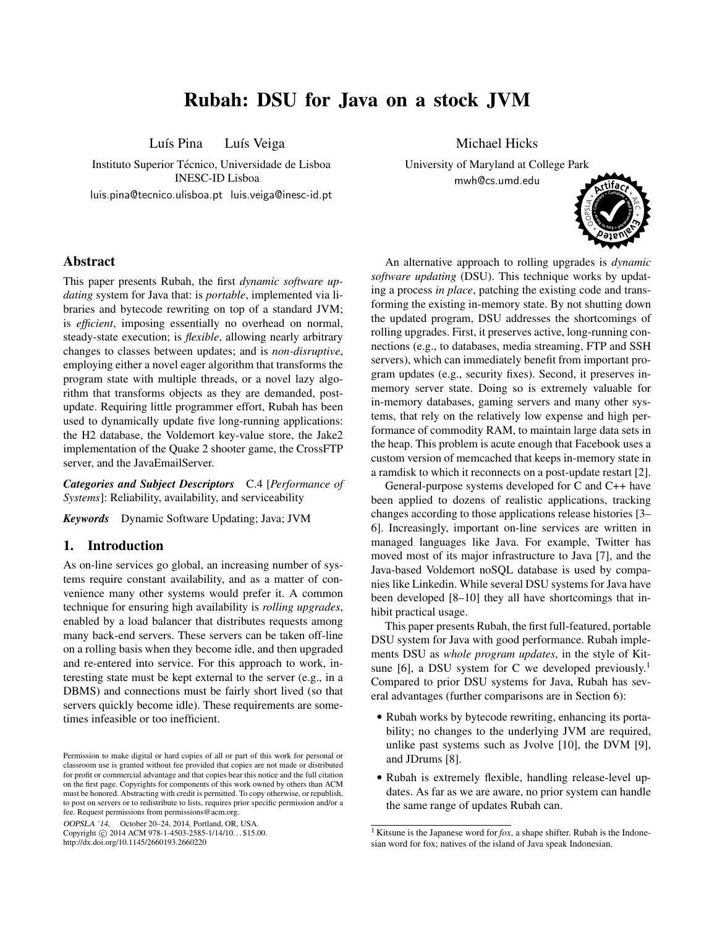# Rubah: DSU for Java on a stock JVM

Luís Pina Luís Veiga

Instituto Superior Técnico, Universidade de Lisboa INESC-ID Lisboa luis.pina@tecnico.ulisboa.pt luis.veiga@inesc-id.pt

## Abstract

This paper presents Rubah, the first *dynamic software updating* system for Java that: is *portable*, implemented via libraries and bytecode rewriting on top of a standard JVM; is *efficient*, imposing essentially no overhead on normal, steady-state execution; is *flexible*, allowing nearly arbitrary changes to classes between updates; and is *non-disruptive*, employing either a novel eager algorithm that transforms the program state with multiple threads, or a novel lazy algorithm that transforms objects as they are demanded, postupdate. Requiring little programmer effort, Rubah has been used to dynamically update five long-running applications: the H2 database, the Voldemort key-value store, the Jake2 implementation of the Quake 2 shooter game, the CrossFTP server, and the JavaEmailServer.

*Categories and Subject Descriptors* C.4 [*Performance of Systems*]: Reliability, availability, and serviceability

*Keywords* Dynamic Software Updating; Java; JVM

# 1. Introduction

As on-line services go global, an increasing number of systems require constant availability, and as a matter of convenience many other systems would prefer it. A common technique for ensuring high availability is *rolling upgrades*, enabled by a load balancer that distributes requests among many back-end servers. These servers can be taken off-line on a rolling basis when they become idle, and then upgraded and re-entered into service. For this approach to work, interesting state must be kept external to the server (e.g., in a DBMS) and connections must be fairly short lived (so that servers quickly become idle). These requirements are sometimes infeasible or too inefficient.

OOPSLA '14, October 20–24, 2014, Portland, OR, USA.

Copyright © 2014 ACM 978-1-4503-2585-1/14/10... \$15.00. http://dx.doi.org/10.1145/2660193.2660220

Michael Hicks

University of Maryland at College Park mwh@cs.umd.edu



An alternative approach to rolling upgrades is *dynamic software updating* (DSU). This technique works by updating a process *in place*, patching the existing code and transforming the existing in-memory state. By not shutting down the updated program, DSU addresses the shortcomings of rolling upgrades. First, it preserves active, long-running connections (e.g., to databases, media streaming, FTP and SSH servers), which can immediately benefit from important program updates (e.g., security fixes). Second, it preserves inmemory server state. Doing so is extremely valuable for in-memory databases, gaming servers and many other systems, that rely on the relatively low expense and high performance of commodity RAM, to maintain large data sets in the heap. This problem is acute enough that Facebook uses a custom version of memcached that keeps in-memory state in a ramdisk to which it reconnects on a post-update restart [2].

General-purpose systems developed for C and C++ have been applied to dozens of realistic applications, tracking changes according to those applications release histories [3– 6]. Increasingly, important on-line services are written in managed languages like Java. For example, Twitter has moved most of its major infrastructure to Java [7], and the Java-based Voldemort noSQL database is used by companies like Linkedin. While several DSU systems for Java have been developed [8–10] they all have shortcomings that inhibit practical usage.

This paper presents Rubah, the first full-featured, portable DSU system for Java with good performance. Rubah implements DSU as *whole program updates*, in the style of Kitsune [6], a DSU system for C we developed previously.<sup>1</sup> Compared to prior DSU systems for Java, Rubah has several advantages (further comparisons are in Section 6):

- Rubah works by bytecode rewriting, enhancing its portability; no changes to the underlying JVM are required, unlike past systems such as Jvolve [10], the DVM [9], and JDrums [8].
- Rubah is extremely flexible, handling release-level updates. As far as we are aware, no prior system can handle the same range of updates Rubah can.

Permission to make digital or hard copies of all or part of this work for personal or classroom use is granted without fee provided that copies are not made or distributed for profit or commercial advantage and that copies bear this notice and the full citation on the first page. Copyrights for components of this work owned by others than ACM must be honored. Abstracting with credit is permitted. To copy otherwise, or republish, to post on servers or to redistribute to lists, requires prior specific permission and/or a fee. Request permissions from permissions@acm.org.

<sup>&</sup>lt;sup>1</sup> Kitsune is the Japanese word for *fox*, a shape shifter. Rubah is the Indonesian word for fox; natives of the island of Java speak Indonesian.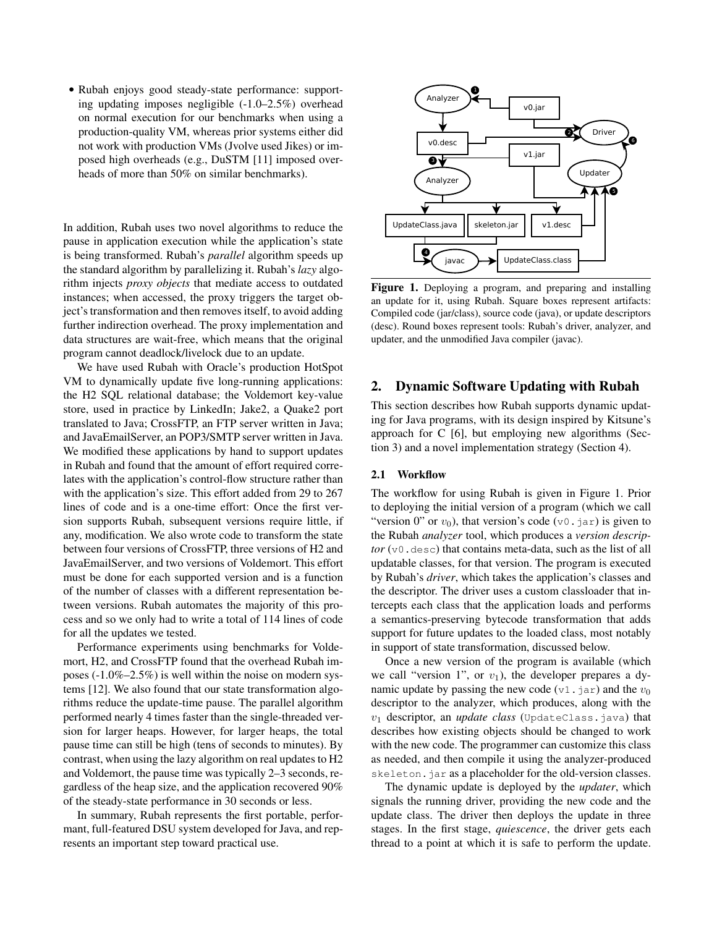• Rubah enjoys good steady-state performance: supporting updating imposes negligible (-1.0–2.5%) overhead on normal execution for our benchmarks when using a production-quality VM, whereas prior systems either did not work with production VMs (Jvolve used Jikes) or imposed high overheads (e.g., DuSTM [11] imposed overheads of more than 50% on similar benchmarks).

In addition, Rubah uses two novel algorithms to reduce the pause in application execution while the application's state is being transformed. Rubah's *parallel* algorithm speeds up the standard algorithm by parallelizing it. Rubah's *lazy* algorithm injects *proxy objects* that mediate access to outdated instances; when accessed, the proxy triggers the target object's transformation and then removes itself, to avoid adding further indirection overhead. The proxy implementation and data structures are wait-free, which means that the original program cannot deadlock/livelock due to an update.

We have used Rubah with Oracle's production HotSpot VM to dynamically update five long-running applications: the H2 SQL relational database; the Voldemort key-value store, used in practice by LinkedIn; Jake2, a Quake2 port translated to Java; CrossFTP, an FTP server written in Java; and JavaEmailServer, an POP3/SMTP server written in Java. We modified these applications by hand to support updates in Rubah and found that the amount of effort required correlates with the application's control-flow structure rather than with the application's size. This effort added from 29 to 267 lines of code and is a one-time effort: Once the first version supports Rubah, subsequent versions require little, if any, modification. We also wrote code to transform the state between four versions of CrossFTP, three versions of H2 and JavaEmailServer, and two versions of Voldemort. This effort must be done for each supported version and is a function of the number of classes with a different representation between versions. Rubah automates the majority of this process and so we only had to write a total of 114 lines of code for all the updates we tested.

Performance experiments using benchmarks for Voldemort, H2, and CrossFTP found that the overhead Rubah imposes (-1.0%–2.5%) is well within the noise on modern systems [12]. We also found that our state transformation algorithms reduce the update-time pause. The parallel algorithm performed nearly 4 times faster than the single-threaded version for larger heaps. However, for larger heaps, the total pause time can still be high (tens of seconds to minutes). By contrast, when using the lazy algorithm on real updates to H2 and Voldemort, the pause time was typically 2–3 seconds, regardless of the heap size, and the application recovered 90% of the steady-state performance in 30 seconds or less.

In summary, Rubah represents the first portable, performant, full-featured DSU system developed for Java, and represents an important step toward practical use.



Figure 1. Deploying a program, and preparing and installing an update for it, using Rubah. Square boxes represent artifacts: Compiled code (jar/class), source code (java), or update descriptors (desc). Round boxes represent tools: Rubah's driver, analyzer, and updater, and the unmodified Java compiler (javac).

# 2. Dynamic Software Updating with Rubah

This section describes how Rubah supports dynamic updating for Java programs, with its design inspired by Kitsune's approach for C [6], but employing new algorithms (Section 3) and a novel implementation strategy (Section 4).

### 2.1 Workflow

The workflow for using Rubah is given in Figure 1. Prior to deploying the initial version of a program (which we call "version 0" or  $v_0$ ), that version's code (v0.jar) is given to the Rubah *analyzer* tool, which produces a *version descriptor*  $(v_0, \text{desc})$  that contains meta-data, such as the list of all updatable classes, for that version. The program is executed by Rubah's *driver*, which takes the application's classes and the descriptor. The driver uses a custom classloader that intercepts each class that the application loads and performs a semantics-preserving bytecode transformation that adds support for future updates to the loaded class, most notably in support of state transformation, discussed below.

Once a new version of the program is available (which we call "version 1", or  $v_1$ ), the developer prepares a dynamic update by passing the new code (v1.jar) and the  $v_0$ descriptor to the analyzer, which produces, along with the  $v_1$  descriptor, an *update class* (UpdateClass.java) that describes how existing objects should be changed to work with the new code. The programmer can customize this class as needed, and then compile it using the analyzer-produced skeleton.jar as a placeholder for the old-version classes.

The dynamic update is deployed by the *updater*, which signals the running driver, providing the new code and the update class. The driver then deploys the update in three stages. In the first stage, *quiescence*, the driver gets each thread to a point at which it is safe to perform the update.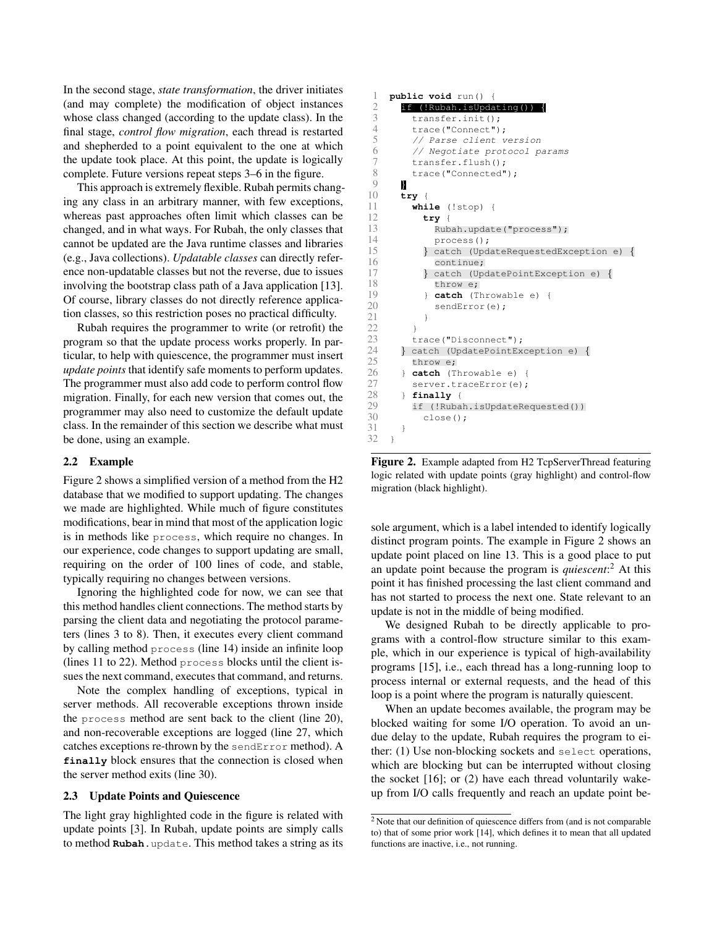In the second stage, *state transformation*, the driver initiates (and may complete) the modification of object instances whose class changed (according to the update class). In the final stage, *control flow migration*, each thread is restarted and shepherded to a point equivalent to the one at which the update took place. At this point, the update is logically complete. Future versions repeat steps 3–6 in the figure.

This approach is extremely flexible. Rubah permits changing any class in an arbitrary manner, with few exceptions, whereas past approaches often limit which classes can be changed, and in what ways. For Rubah, the only classes that cannot be updated are the Java runtime classes and libraries (e.g., Java collections). *Updatable classes* can directly reference non-updatable classes but not the reverse, due to issues involving the bootstrap class path of a Java application [13]. Of course, library classes do not directly reference application classes, so this restriction poses no practical difficulty.

Rubah requires the programmer to write (or retrofit) the program so that the update process works properly. In particular, to help with quiescence, the programmer must insert *update points* that identify safe moments to perform updates. The programmer must also add code to perform control flow migration. Finally, for each new version that comes out, the programmer may also need to customize the default update class. In the remainder of this section we describe what must be done, using an example.

## 2.2 Example

Figure 2 shows a simplified version of a method from the H2 database that we modified to support updating. The changes we made are highlighted. While much of figure constitutes modifications, bear in mind that most of the application logic is in methods like process, which require no changes. In our experience, code changes to support updating are small, requiring on the order of 100 lines of code, and stable, typically requiring no changes between versions.

Ignoring the highlighted code for now, we can see that this method handles client connections. The method starts by parsing the client data and negotiating the protocol parameters (lines 3 to 8). Then, it executes every client command by calling method process (line 14) inside an infinite loop (lines 11 to 22). Method process blocks until the client issues the next command, executes that command, and returns.

Note the complex handling of exceptions, typical in server methods. All recoverable exceptions thrown inside the process method are sent back to the client (line 20), and non-recoverable exceptions are logged (line 27, which catches exceptions re-thrown by the sendError method). A **finally** block ensures that the connection is closed when the server method exits (line 30).

## 2.3 Update Points and Quiescence

The light gray highlighted code in the figure is related with update points [3]. In Rubah, update points are simply calls to method **Rubah**.update. This method takes a string as its

```
1 public void run() {
 2 if (!Rubah.isUpdating()) {<br>3 transfer.init();
            transfer.init();
 4 trace("Connect");<br>5 // Parse client v
 5 // Parse client version<br>6 // Negotiate protocol p
 6 // Negotiate protocol params<br>7 transfer.flush();
 7 transfer.flush();<br>8 trace("Connected"
 \begin{array}{c} 8 \\ 9 \end{array} trace ("Connected");
\begin{array}{ccc} 9 & \textbf{0} \\ 10 & \textbf{t} \end{array}10 try {
            while (!stop) {
12 try {
                  Rubah.update("process");
14 process();<br>15 } catch (Upd
15 } catch (UpdateRequestedException e) {<br>16 continue;
                  continue:
17 } catch (UpdatePointException e) {<br>18 throw e;
18 throw e;<br>19 } catch (T)
                 catch (Throwable e) {
20 sendError(e);
21 }
\begin{array}{ccc} 22 & & & \text{ } \\ 23 & & & \text{ } \text{ } \end{array}23 trace("Disconnect");<br>24    | catch (UpdatePointEx
24 } catch (UpdatePointException e) {
25 throw e;<br>26 } catch (T
26 } catch (Throwable e) {<br>27 server.traceError(e):
            server.traceError(e);
28 } finally {
29 if (!Rubah.isUpdateRequested())<br>30 close():
               close();
31 }
32 }
```
Figure 2. Example adapted from H2 TcpServerThread featuring logic related with update points (gray highlight) and control-flow migration (black highlight).

sole argument, which is a label intended to identify logically distinct program points. The example in Figure 2 shows an update point placed on line 13. This is a good place to put an update point because the program is *quiescent*: <sup>2</sup> At this point it has finished processing the last client command and has not started to process the next one. State relevant to an update is not in the middle of being modified.

We designed Rubah to be directly applicable to programs with a control-flow structure similar to this example, which in our experience is typical of high-availability programs [15], i.e., each thread has a long-running loop to process internal or external requests, and the head of this loop is a point where the program is naturally quiescent.

When an update becomes available, the program may be blocked waiting for some I/O operation. To avoid an undue delay to the update, Rubah requires the program to either: (1) Use non-blocking sockets and select operations, which are blocking but can be interrupted without closing the socket [16]; or (2) have each thread voluntarily wakeup from I/O calls frequently and reach an update point be-

<sup>2</sup> Note that our definition of quiescence differs from (and is not comparable to) that of some prior work [14], which defines it to mean that all updated functions are inactive, i.e., not running.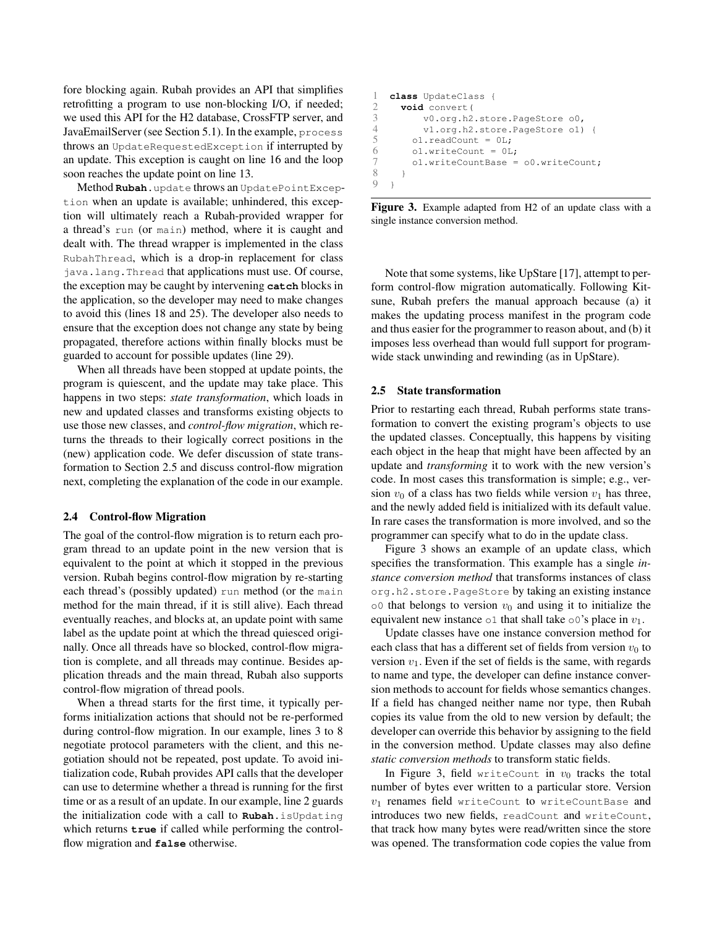fore blocking again. Rubah provides an API that simplifies retrofitting a program to use non-blocking I/O, if needed; we used this API for the H2 database, CrossFTP server, and JavaEmailServer (see Section 5.1). In the example, process throws an UpdateRequestedException if interrupted by an update. This exception is caught on line 16 and the loop soon reaches the update point on line 13.

Method **Rubah**.update throws an UpdatePointException when an update is available; unhindered, this exception will ultimately reach a Rubah-provided wrapper for a thread's run (or main) method, where it is caught and dealt with. The thread wrapper is implemented in the class RubahThread, which is a drop-in replacement for class java.lang.Thread that applications must use. Of course, the exception may be caught by intervening **catch** blocks in the application, so the developer may need to make changes to avoid this (lines 18 and 25). The developer also needs to ensure that the exception does not change any state by being propagated, therefore actions within finally blocks must be guarded to account for possible updates (line 29).

When all threads have been stopped at update points, the program is quiescent, and the update may take place. This happens in two steps: *state transformation*, which loads in new and updated classes and transforms existing objects to use those new classes, and *control-flow migration*, which returns the threads to their logically correct positions in the (new) application code. We defer discussion of state transformation to Section 2.5 and discuss control-flow migration next, completing the explanation of the code in our example.

#### 2.4 Control-flow Migration

The goal of the control-flow migration is to return each program thread to an update point in the new version that is equivalent to the point at which it stopped in the previous version. Rubah begins control-flow migration by re-starting each thread's (possibly updated) run method (or the main method for the main thread, if it is still alive). Each thread eventually reaches, and blocks at, an update point with same label as the update point at which the thread quiesced originally. Once all threads have so blocked, control-flow migration is complete, and all threads may continue. Besides application threads and the main thread, Rubah also supports control-flow migration of thread pools.

When a thread starts for the first time, it typically performs initialization actions that should not be re-performed during control-flow migration. In our example, lines 3 to 8 negotiate protocol parameters with the client, and this negotiation should not be repeated, post update. To avoid initialization code, Rubah provides API calls that the developer can use to determine whether a thread is running for the first time or as a result of an update. In our example, line 2 guards the initialization code with a call to **Rubah**.isUpdating which returns **true** if called while performing the controlflow migration and **false** otherwise.

```
1 class UpdateClass {
2 void convert (<br>3 v0.\text{org.h2}v0.org.h2.store.PageStore o0,
4 v1.org.h2.store.PageStore o1) {
5 ol.readCount = 0L;<br>6 ol.writeCount = 0L6 ol.writeCount = 0L;<br>
7 ol.writeCountBase =
           ol.writeCountBase = o0.writeCount;
\begin{array}{ccc} 8 & & \rightarrow \\ 9 & & \rightarrow \end{array}\rightarrow
```
Figure 3. Example adapted from H2 of an update class with a single instance conversion method.

Note that some systems, like UpStare [17], attempt to perform control-flow migration automatically. Following Kitsune, Rubah prefers the manual approach because (a) it makes the updating process manifest in the program code and thus easier for the programmer to reason about, and (b) it imposes less overhead than would full support for programwide stack unwinding and rewinding (as in UpStare).

#### 2.5 State transformation

Prior to restarting each thread, Rubah performs state transformation to convert the existing program's objects to use the updated classes. Conceptually, this happens by visiting each object in the heap that might have been affected by an update and *transforming* it to work with the new version's code. In most cases this transformation is simple; e.g., version  $v_0$  of a class has two fields while version  $v_1$  has three, and the newly added field is initialized with its default value. In rare cases the transformation is more involved, and so the programmer can specify what to do in the update class.

Figure 3 shows an example of an update class, which specifies the transformation. This example has a single *instance conversion method* that transforms instances of class org.h2.store.PageStore by taking an existing instance  $\circ$ 0 that belongs to version  $v_0$  and using it to initialize the equivalent new instance  $\circ 1$  that shall take  $\circ 0$ 's place in  $v_1$ .

Update classes have one instance conversion method for each class that has a different set of fields from version  $v_0$  to version  $v_1$ . Even if the set of fields is the same, with regards to name and type, the developer can define instance conversion methods to account for fields whose semantics changes. If a field has changed neither name nor type, then Rubah copies its value from the old to new version by default; the developer can override this behavior by assigning to the field in the conversion method. Update classes may also define *static conversion methods* to transform static fields.

In Figure 3, field writeCount in  $v_0$  tracks the total number of bytes ever written to a particular store. Version  $v_1$  renames field writeCount to writeCountBase and introduces two new fields, readCount and writeCount, that track how many bytes were read/written since the store was opened. The transformation code copies the value from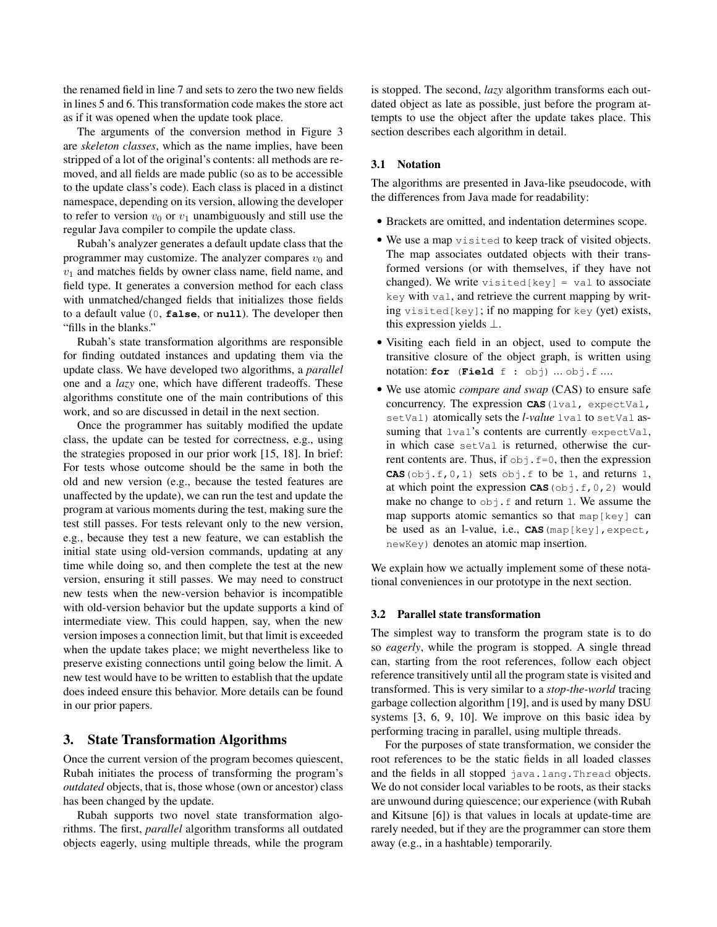the renamed field in line 7 and sets to zero the two new fields in lines 5 and 6. This transformation code makes the store act as if it was opened when the update took place.

The arguments of the conversion method in Figure 3 are *skeleton classes*, which as the name implies, have been stripped of a lot of the original's contents: all methods are removed, and all fields are made public (so as to be accessible to the update class's code). Each class is placed in a distinct namespace, depending on its version, allowing the developer to refer to version  $v_0$  or  $v_1$  unambiguously and still use the regular Java compiler to compile the update class.

Rubah's analyzer generates a default update class that the programmer may customize. The analyzer compares  $v_0$  and  $v_1$  and matches fields by owner class name, field name, and field type. It generates a conversion method for each class with unmatched/changed fields that initializes those fields to a default value (0, **false**, or **null**). The developer then "fills in the blanks."

Rubah's state transformation algorithms are responsible for finding outdated instances and updating them via the update class. We have developed two algorithms, a *parallel* one and a *lazy* one, which have different tradeoffs. These algorithms constitute one of the main contributions of this work, and so are discussed in detail in the next section.

Once the programmer has suitably modified the update class, the update can be tested for correctness, e.g., using the strategies proposed in our prior work [15, 18]. In brief: For tests whose outcome should be the same in both the old and new version (e.g., because the tested features are unaffected by the update), we can run the test and update the program at various moments during the test, making sure the test still passes. For tests relevant only to the new version, e.g., because they test a new feature, we can establish the initial state using old-version commands, updating at any time while doing so, and then complete the test at the new version, ensuring it still passes. We may need to construct new tests when the new-version behavior is incompatible with old-version behavior but the update supports a kind of intermediate view. This could happen, say, when the new version imposes a connection limit, but that limit is exceeded when the update takes place; we might nevertheless like to preserve existing connections until going below the limit. A new test would have to be written to establish that the update does indeed ensure this behavior. More details can be found in our prior papers.

# 3. State Transformation Algorithms

Once the current version of the program becomes quiescent, Rubah initiates the process of transforming the program's *outdated* objects, that is, those whose (own or ancestor) class has been changed by the update.

Rubah supports two novel state transformation algorithms. The first, *parallel* algorithm transforms all outdated objects eagerly, using multiple threads, while the program is stopped. The second, *lazy* algorithm transforms each outdated object as late as possible, just before the program attempts to use the object after the update takes place. This section describes each algorithm in detail.

## 3.1 Notation

The algorithms are presented in Java-like pseudocode, with the differences from Java made for readability:

- Brackets are omitted, and indentation determines scope.
- We use a map visited to keep track of visited objects. The map associates outdated objects with their transformed versions (or with themselves, if they have not changed). We write visited  $[key] = val$  to associate key with val, and retrieve the current mapping by writing visited[key]; if no mapping for key (yet) exists, this expression yields  $\perp$ .
- Visiting each field in an object, used to compute the transitive closure of the object graph, is written using notation: **for** (**Field** f : obj) ... obj.f ....
- We use atomic *compare and swap* (CAS) to ensure safe concurrency. The expression **CAS**(lval, expectVal, setVal) atomically sets the *l-value* lval to setVal assuming that lval's contents are currently expectVal, in which case setVal is returned, otherwise the current contents are. Thus, if  $\circ b$  i.  $f=0$ , then the expression **CAS**( $obj.f,0,1$ ) sets  $obj.f$  to be 1, and returns 1, at which point the expression  $CAS$  (obj.f, 0, 2) would make no change to  $obj.f$  and return 1. We assume the map supports atomic semantics so that  $map[key]$  can be used as an l-value, i.e., **CAS**(map[key],expect, newKey) denotes an atomic map insertion.

We explain how we actually implement some of these notational conveniences in our prototype in the next section.

## 3.2 Parallel state transformation

The simplest way to transform the program state is to do so *eagerly*, while the program is stopped. A single thread can, starting from the root references, follow each object reference transitively until all the program state is visited and transformed. This is very similar to a *stop-the-world* tracing garbage collection algorithm [19], and is used by many DSU systems [3, 6, 9, 10]. We improve on this basic idea by performing tracing in parallel, using multiple threads.

For the purposes of state transformation, we consider the root references to be the static fields in all loaded classes and the fields in all stopped java.lang.Thread objects. We do not consider local variables to be roots, as their stacks are unwound during quiescence; our experience (with Rubah and Kitsune [6]) is that values in locals at update-time are rarely needed, but if they are the programmer can store them away (e.g., in a hashtable) temporarily.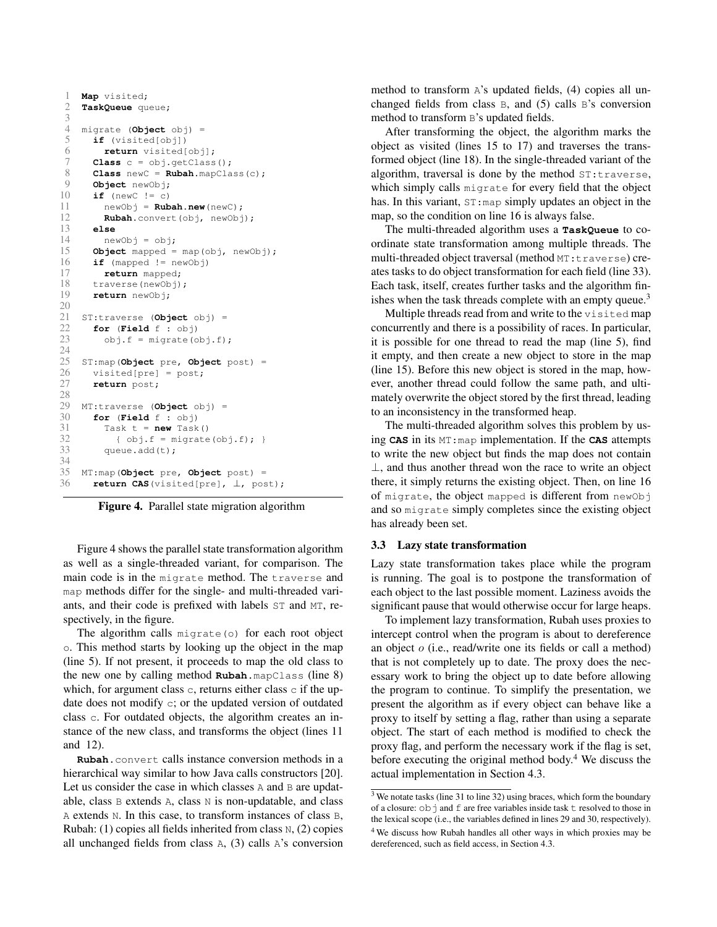```
1 Map visited;<br>2 TaskOueue cu
     2 TaskQueue queue;
 3
 4 migrate (Object obj) =
        5 if (visited[obj])
 6 return visited[obj];
 7 Class c = obj.getClass();<br>8 Class newC = Rubah.mapCla
 8 Class newC = \text{Rubah}.\text{mapClass}(c);<br>9 Object newObj:
9 Object newObj;<br>10 if (newC != c)
10 if (newC != c)<br>11 newObj = Rub
           11 newObj = Rubah.new(newC);
12 Rubah.convert(obj, newObj);<br>13 else
         13 else
14 newObj = obj;<br>15 Object mapped =
15 Object mapped = map(obj, newObj);<br>16 if (mapped != newObj)
         16 if (mapped != newObj)
17 return mapped;<br>18 traverse (newObj)
18 traverse(newObj);<br>19 return newObj.
         return newObj;
\frac{20}{21}21 ST:traverse (Object obj) =
22 for (Field f : obj)<br>23 obj.f = migrate(o)obj.f = migrate(obj.f);24
25 ST:map(Object pre, Object post) =
26 visited[pre] = post;<br>27 return post;
        return post;
28
29 MT:traverse (Object obj) =
\begin{array}{ll}\n 30 & \text{for (Field f : obj)} \\
 31 & \text{Task } t = \text{new Task}\n \end{array}31 Task t = new Task()<br>32 { obj.f = migrate\{\nabla \cdot \phi : f = \text{migrate}(\nabla \phi \circ f) : \}33 queue.add(t);
34<br>35
35 MT:map(Object pre, Object post) =
         36 return CAS(visited[pre], ⊥, post);
```
Figure 4. Parallel state migration algorithm

Figure 4 shows the parallel state transformation algorithm as well as a single-threaded variant, for comparison. The main code is in the migrate method. The traverse and map methods differ for the single- and multi-threaded variants, and their code is prefixed with labels ST and MT, respectively, in the figure.

The algorithm calls migrate(o) for each root object o. This method starts by looking up the object in the map (line 5). If not present, it proceeds to map the old class to the new one by calling method **Rubah**.mapClass (line 8) which, for argument class  $\circ$ , returns either class  $\circ$  if the update does not modify c; or the updated version of outdated class c. For outdated objects, the algorithm creates an instance of the new class, and transforms the object (lines 11 and 12).

**Rubah**.convert calls instance conversion methods in a hierarchical way similar to how Java calls constructors [20]. Let us consider the case in which classes A and B are updatable, class B extends A, class N is non-updatable, and class A extends N. In this case, to transform instances of class B, Rubah: (1) copies all fields inherited from class N, (2) copies all unchanged fields from class A, (3) calls A's conversion method to transform A's updated fields, (4) copies all unchanged fields from class B, and (5) calls B's conversion method to transform B's updated fields.

After transforming the object, the algorithm marks the object as visited (lines 15 to 17) and traverses the transformed object (line 18). In the single-threaded variant of the algorithm, traversal is done by the method ST:traverse, which simply calls migrate for every field that the object has. In this variant,  $ST:map$  simply updates an object in the map, so the condition on line 16 is always false.

The multi-threaded algorithm uses a **TaskQueue** to coordinate state transformation among multiple threads. The multi-threaded object traversal (method MT:traverse) creates tasks to do object transformation for each field (line 33). Each task, itself, creates further tasks and the algorithm finishes when the task threads complete with an empty queue.<sup>3</sup>

Multiple threads read from and write to the visited map concurrently and there is a possibility of races. In particular, it is possible for one thread to read the map (line 5), find it empty, and then create a new object to store in the map (line 15). Before this new object is stored in the map, however, another thread could follow the same path, and ultimately overwrite the object stored by the first thread, leading to an inconsistency in the transformed heap.

The multi-threaded algorithm solves this problem by using **CAS** in its MT:map implementation. If the **CAS** attempts to write the new object but finds the map does not contain ⊥, and thus another thread won the race to write an object there, it simply returns the existing object. Then, on line 16 of migrate, the object mapped is different from newObj and so migrate simply completes since the existing object has already been set.

#### 3.3 Lazy state transformation

Lazy state transformation takes place while the program is running. The goal is to postpone the transformation of each object to the last possible moment. Laziness avoids the significant pause that would otherwise occur for large heaps.

To implement lazy transformation, Rubah uses proxies to intercept control when the program is about to dereference an object o (i.e., read/write one its fields or call a method) that is not completely up to date. The proxy does the necessary work to bring the object up to date before allowing the program to continue. To simplify the presentation, we present the algorithm as if every object can behave like a proxy to itself by setting a flag, rather than using a separate object. The start of each method is modified to check the proxy flag, and perform the necessary work if the flag is set, before executing the original method body.<sup>4</sup> We discuss the actual implementation in Section 4.3.

 $3$  We notate tasks (line 31 to line 32) using braces, which form the boundary of a closure:  $\circ$ b  $\dot{ }$  and  $\dot{ }$  are free variables inside task  $\dot{ }$  resolved to those in the lexical scope (i.e., the variables defined in lines 29 and 30, respectively). <sup>4</sup> We discuss how Rubah handles all other ways in which proxies may be dereferenced, such as field access, in Section 4.3.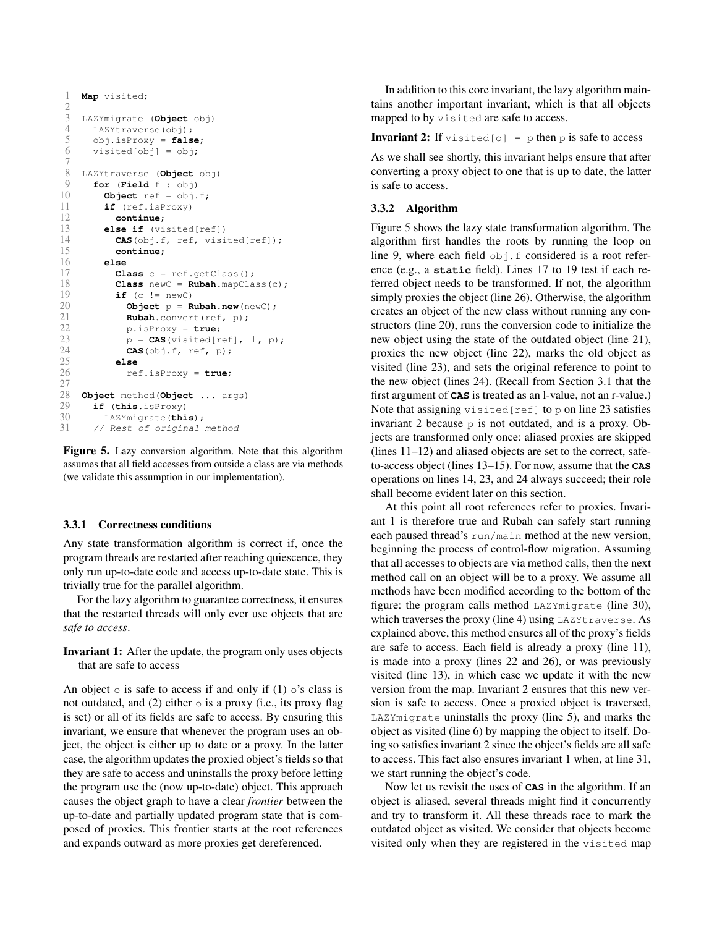```
1 Map visited;
rac{2}{3}LAZYmigrate (Object obj)
4 LAZYtraverse(obj);<br>5 obj.isProxy = fals
       5 obj.isProxy = false;
6 visited[obj] = obj;
7<br>8
8 LAZYtraverse (Object obj)
9 for (Field f : obj)<br>10 Object ref = obj.
10 Object ref = obj.f;<br>11 if (ref.isProxy)
         11 if (ref.isProxy)
12 continue;
13 else if (visited[ref])
14 CAS(obj.f, ref, visited[ref]);<br>15 continue;
15 continue;
         16 else
17 Class c = ref.getClass();<br>18 Class newC = Rubah.mapCla
18 Class newC = Rubah.mapClass(c);<br>19 if (c \mid m \in \mathbb{R})if (c := newC)20 Object p = Rubah.new(newC);
21 Rubah.convert(ref, p);<br>22 D.isProxy = true;
22 p.isProxy = true;<br>23 p = CAS (visited [r
23 p = CAS(visited[ref], \perp, p);<br>24 CAS(obi.f, ref, p);
24 CAS(obj.f, ref, p);
25 else
              26 ref.isProxy = true;
27
28 Object method (Object ... args)<br>29 if (this.isProxy)
29 if (this.isProxy)
30 LAZYmigrate(this);
       // Rest of original method
```
Figure 5. Lazy conversion algorithm. Note that this algorithm assumes that all field accesses from outside a class are via methods (we validate this assumption in our implementation).

#### 3.3.1 Correctness conditions

Any state transformation algorithm is correct if, once the program threads are restarted after reaching quiescence, they only run up-to-date code and access up-to-date state. This is trivially true for the parallel algorithm.

For the lazy algorithm to guarantee correctness, it ensures that the restarted threads will only ever use objects that are *safe to access*.

Invariant 1: After the update, the program only uses objects that are safe to access

An object  $\circ$  is safe to access if and only if (1)  $\circ$ 's class is not outdated, and  $(2)$  either  $\circ$  is a proxy (i.e., its proxy flag is set) or all of its fields are safe to access. By ensuring this invariant, we ensure that whenever the program uses an object, the object is either up to date or a proxy. In the latter case, the algorithm updates the proxied object's fields so that they are safe to access and uninstalls the proxy before letting the program use the (now up-to-date) object. This approach causes the object graph to have a clear *frontier* between the up-to-date and partially updated program state that is composed of proxies. This frontier starts at the root references and expands outward as more proxies get dereferenced.

In addition to this core invariant, the lazy algorithm maintains another important invariant, which is that all objects mapped to by visited are safe to access.

**Invariant 2:** If visited[o] = p then p is safe to access

As we shall see shortly, this invariant helps ensure that after converting a proxy object to one that is up to date, the latter is safe to access.

#### 3.3.2 Algorithm

Figure 5 shows the lazy state transformation algorithm. The algorithm first handles the roots by running the loop on line 9, where each field  $\circ$ bj.f considered is a root reference (e.g., a **static** field). Lines 17 to 19 test if each referred object needs to be transformed. If not, the algorithm simply proxies the object (line 26). Otherwise, the algorithm creates an object of the new class without running any constructors (line 20), runs the conversion code to initialize the new object using the state of the outdated object (line 21), proxies the new object (line 22), marks the old object as visited (line 23), and sets the original reference to point to the new object (lines 24). (Recall from Section 3.1 that the first argument of **CAS** is treated as an l-value, not an r-value.) Note that assigning visited  $[ref]$  to p on line 23 satisfies invariant 2 because p is not outdated, and is a proxy. Objects are transformed only once: aliased proxies are skipped (lines 11–12) and aliased objects are set to the correct, safeto-access object (lines 13–15). For now, assume that the **CAS** operations on lines 14, 23, and 24 always succeed; their role shall become evident later on this section.

At this point all root references refer to proxies. Invariant 1 is therefore true and Rubah can safely start running each paused thread's run/main method at the new version, beginning the process of control-flow migration. Assuming that all accesses to objects are via method calls, then the next method call on an object will be to a proxy. We assume all methods have been modified according to the bottom of the figure: the program calls method LAZYmigrate (line 30), which traverses the proxy (line 4) using LAZYtraverse. As explained above, this method ensures all of the proxy's fields are safe to access. Each field is already a proxy (line 11), is made into a proxy (lines 22 and 26), or was previously visited (line 13), in which case we update it with the new version from the map. Invariant 2 ensures that this new version is safe to access. Once a proxied object is traversed, LAZYmigrate uninstalls the proxy (line 5), and marks the object as visited (line 6) by mapping the object to itself. Doing so satisfies invariant 2 since the object's fields are all safe to access. This fact also ensures invariant 1 when, at line 31, we start running the object's code.

Now let us revisit the uses of **CAS** in the algorithm. If an object is aliased, several threads might find it concurrently and try to transform it. All these threads race to mark the outdated object as visited. We consider that objects become visited only when they are registered in the visited map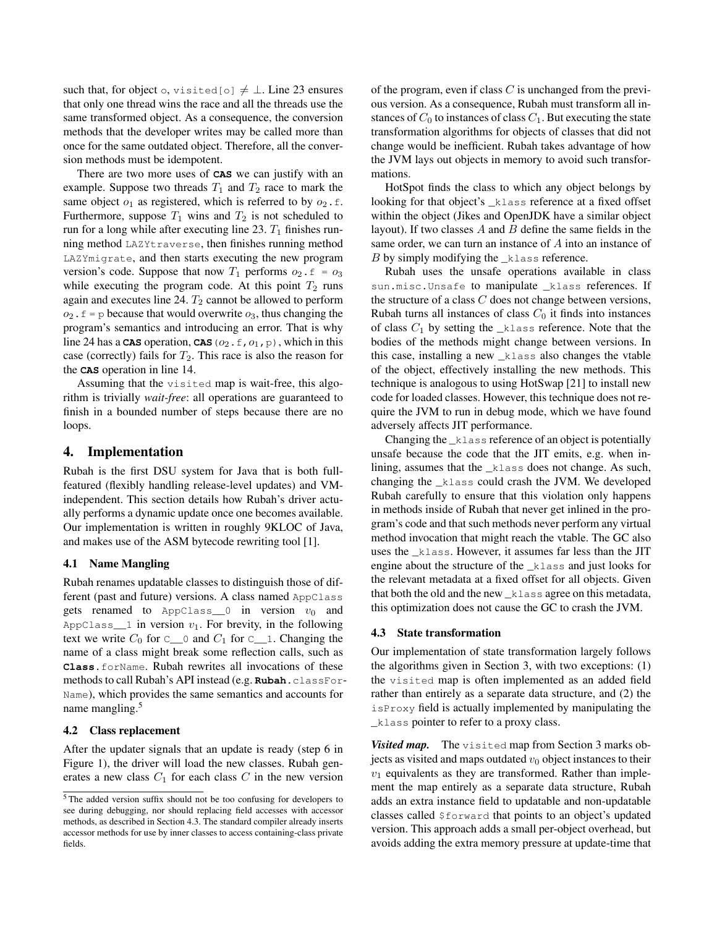such that, for object o, visited[o]  $\neq \bot$ . Line 23 ensures that only one thread wins the race and all the threads use the same transformed object. As a consequence, the conversion methods that the developer writes may be called more than once for the same outdated object. Therefore, all the conversion methods must be idempotent.

There are two more uses of **CAS** we can justify with an example. Suppose two threads  $T_1$  and  $T_2$  race to mark the same object  $o_1$  as registered, which is referred to by  $o_2$ . f. Furthermore, suppose  $T_1$  wins and  $T_2$  is not scheduled to run for a long while after executing line 23.  $T_1$  finishes running method LAZYtraverse, then finishes running method LAZYmigrate, and then starts executing the new program version's code. Suppose that now  $T_1$  performs  $o_2$ .  $f = o_3$ while executing the program code. At this point  $T_2$  runs again and executes line 24.  $T_2$  cannot be allowed to perform  $o_2$ .  $f = p$  because that would overwrite  $o_3$ , thus changing the program's semantics and introducing an error. That is why line 24 has a **CAS** operation, **CAS** ( $o_2$ ,  $f$ ,  $o_1$ ,  $p$ ), which in this case (correctly) fails for  $T_2$ . This race is also the reason for the **CAS** operation in line 14.

Assuming that the visited map is wait-free, this algorithm is trivially *wait-free*: all operations are guaranteed to finish in a bounded number of steps because there are no loops.

# 4. Implementation

Rubah is the first DSU system for Java that is both fullfeatured (flexibly handling release-level updates) and VMindependent. This section details how Rubah's driver actually performs a dynamic update once one becomes available. Our implementation is written in roughly 9KLOC of Java, and makes use of the ASM bytecode rewriting tool [1].

#### 4.1 Name Mangling

Rubah renames updatable classes to distinguish those of different (past and future) versions. A class named AppClass gets renamed to AppClass<sub>\_0</sub> in version  $v_0$  and AppClass<sub>11</sub> in version  $v_1$ . For brevity, in the following text we write  $C_0$  for  $C_0$  and  $C_1$  for  $C_1$ . Changing the name of a class might break some reflection calls, such as **Class**.forName. Rubah rewrites all invocations of these methods to call Rubah's API instead (e.g. **Rubah**.classFor-Name), which provides the same semantics and accounts for name mangling.<sup>5</sup>

#### 4.2 Class replacement

After the updater signals that an update is ready (step 6 in Figure 1), the driver will load the new classes. Rubah generates a new class  $C_1$  for each class C in the new version of the program, even if class  $C$  is unchanged from the previous version. As a consequence, Rubah must transform all instances of  $C_0$  to instances of class  $C_1$ . But executing the state transformation algorithms for objects of classes that did not change would be inefficient. Rubah takes advantage of how the JVM lays out objects in memory to avoid such transformations.

HotSpot finds the class to which any object belongs by looking for that object's \_klass reference at a fixed offset within the object (Jikes and OpenJDK have a similar object layout). If two classes  $A$  and  $B$  define the same fields in the same order, we can turn an instance of A into an instance of  $B$  by simply modifying the  $\bot$ klass reference.

Rubah uses the unsafe operations available in class sun.misc.Unsafe to manipulate \_klass references. If the structure of a class  $C$  does not change between versions, Rubah turns all instances of class  $C_0$  it finds into instances of class  $C_1$  by setting the  $_k$ lass reference. Note that the bodies of the methods might change between versions. In this case, installing a new \_klass also changes the vtable of the object, effectively installing the new methods. This technique is analogous to using HotSwap [21] to install new code for loaded classes. However, this technique does not require the JVM to run in debug mode, which we have found adversely affects JIT performance.

Changing the \_klass reference of an object is potentially unsafe because the code that the JIT emits, e.g. when inlining, assumes that the \_klass does not change. As such, changing the \_klass could crash the JVM. We developed Rubah carefully to ensure that this violation only happens in methods inside of Rubah that never get inlined in the program's code and that such methods never perform any virtual method invocation that might reach the vtable. The GC also uses the \_klass. However, it assumes far less than the JIT engine about the structure of the \_klass and just looks for the relevant metadata at a fixed offset for all objects. Given that both the old and the new \_klass agree on this metadata, this optimization does not cause the GC to crash the JVM.

#### 4.3 State transformation

Our implementation of state transformation largely follows the algorithms given in Section 3, with two exceptions: (1) the visited map is often implemented as an added field rather than entirely as a separate data structure, and (2) the isProxy field is actually implemented by manipulating the \_klass pointer to refer to a proxy class.

Visited map. The visited map from Section 3 marks objects as visited and maps outdated  $v_0$  object instances to their  $v_1$  equivalents as they are transformed. Rather than implement the map entirely as a separate data structure, Rubah adds an extra instance field to updatable and non-updatable classes called \$forward that points to an object's updated version. This approach adds a small per-object overhead, but avoids adding the extra memory pressure at update-time that

<sup>5</sup> The added version suffix should not be too confusing for developers to see during debugging, nor should replacing field accesses with accessor methods, as described in Section 4.3. The standard compiler already inserts accessor methods for use by inner classes to access containing-class private fields.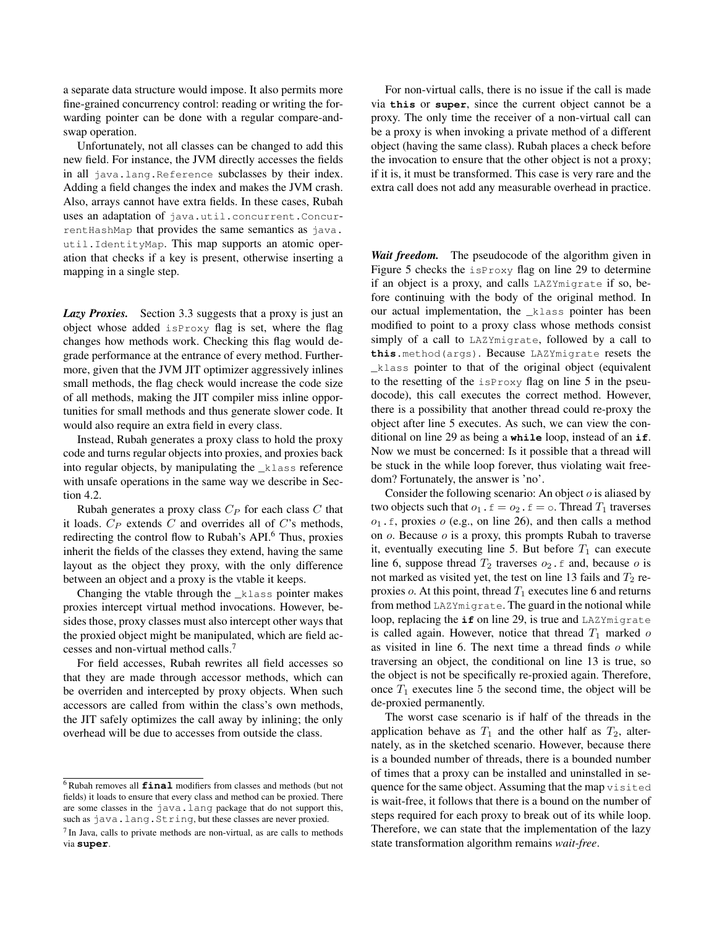a separate data structure would impose. It also permits more fine-grained concurrency control: reading or writing the forwarding pointer can be done with a regular compare-andswap operation.

Unfortunately, not all classes can be changed to add this new field. For instance, the JVM directly accesses the fields in all java.lang.Reference subclasses by their index. Adding a field changes the index and makes the JVM crash. Also, arrays cannot have extra fields. In these cases, Rubah uses an adaptation of java.util.concurrent.ConcurrentHashMap that provides the same semantics as java. util.IdentityMap. This map supports an atomic operation that checks if a key is present, otherwise inserting a mapping in a single step.

*Lazy Proxies.* Section 3.3 suggests that a proxy is just an object whose added isProxy flag is set, where the flag changes how methods work. Checking this flag would degrade performance at the entrance of every method. Furthermore, given that the JVM JIT optimizer aggressively inlines small methods, the flag check would increase the code size of all methods, making the JIT compiler miss inline opportunities for small methods and thus generate slower code. It would also require an extra field in every class.

Instead, Rubah generates a proxy class to hold the proxy code and turns regular objects into proxies, and proxies back into regular objects, by manipulating the \_klass reference with unsafe operations in the same way we describe in Section 4.2.

Rubah generates a proxy class  $C_P$  for each class C that it loads.  $C_P$  extends  $C$  and overrides all of  $C$ 's methods, redirecting the control flow to Rubah's API.<sup>6</sup> Thus, proxies inherit the fields of the classes they extend, having the same layout as the object they proxy, with the only difference between an object and a proxy is the vtable it keeps.

Changing the vtable through the  $_k$ lass pointer makes proxies intercept virtual method invocations. However, besides those, proxy classes must also intercept other ways that the proxied object might be manipulated, which are field accesses and non-virtual method calls.<sup>7</sup>

For field accesses, Rubah rewrites all field accesses so that they are made through accessor methods, which can be overriden and intercepted by proxy objects. When such accessors are called from within the class's own methods, the JIT safely optimizes the call away by inlining; the only overhead will be due to accesses from outside the class.

For non-virtual calls, there is no issue if the call is made via **this** or **super**, since the current object cannot be a proxy. The only time the receiver of a non-virtual call can be a proxy is when invoking a private method of a different object (having the same class). Rubah places a check before the invocation to ensure that the other object is not a proxy; if it is, it must be transformed. This case is very rare and the extra call does not add any measurable overhead in practice.

*Wait freedom.* The pseudocode of the algorithm given in Figure 5 checks the isProxy flag on line 29 to determine if an object is a proxy, and calls LAZYmigrate if so, before continuing with the body of the original method. In our actual implementation, the \_klass pointer has been modified to point to a proxy class whose methods consist simply of a call to LAZYmigrate, followed by a call to **this**.method(args). Because LAZYmigrate resets the \_klass pointer to that of the original object (equivalent to the resetting of the isProxy flag on line 5 in the pseudocode), this call executes the correct method. However, there is a possibility that another thread could re-proxy the object after line 5 executes. As such, we can view the conditional on line 29 as being a **while** loop, instead of an **if**. Now we must be concerned: Is it possible that a thread will be stuck in the while loop forever, thus violating wait freedom? Fortunately, the answer is 'no'.

Consider the following scenario: An object  $o$  is aliased by two objects such that  $o_1$ .  $f = o_2$ .  $f = o$ . Thread  $T_1$  traverses  $o_1$ . f, proxies  $o$  (e.g., on line 26), and then calls a method on  $o$ . Because  $o$  is a proxy, this prompts Rubah to traverse it, eventually executing line 5. But before  $T_1$  can execute line 6, suppose thread  $T_2$  traverses  $o_2$ . f and, because o is not marked as visited yet, the test on line 13 fails and  $T_2$  reproxies  $o$ . At this point, thread  $T_1$  executes line 6 and returns from method LAZYmigrate. The guard in the notional while loop, replacing the **if** on line 29, is true and LAZYmigrate is called again. However, notice that thread  $T_1$  marked  $\sigma$ as visited in line 6. The next time a thread finds  $o$  while traversing an object, the conditional on line 13 is true, so the object is not be specifically re-proxied again. Therefore, once  $T_1$  executes line 5 the second time, the object will be de-proxied permanently.

The worst case scenario is if half of the threads in the application behave as  $T_1$  and the other half as  $T_2$ , alternately, as in the sketched scenario. However, because there is a bounded number of threads, there is a bounded number of times that a proxy can be installed and uninstalled in sequence for the same object. Assuming that the map visited is wait-free, it follows that there is a bound on the number of steps required for each proxy to break out of its while loop. Therefore, we can state that the implementation of the lazy state transformation algorithm remains *wait-free*.

<sup>6</sup> Rubah removes all **final** modifiers from classes and methods (but not fields) it loads to ensure that every class and method can be proxied. There are some classes in the java.lang package that do not support this, such as java.lang.String, but these classes are never proxied.

<sup>&</sup>lt;sup>7</sup> In Java, calls to private methods are non-virtual, as are calls to methods via **super**.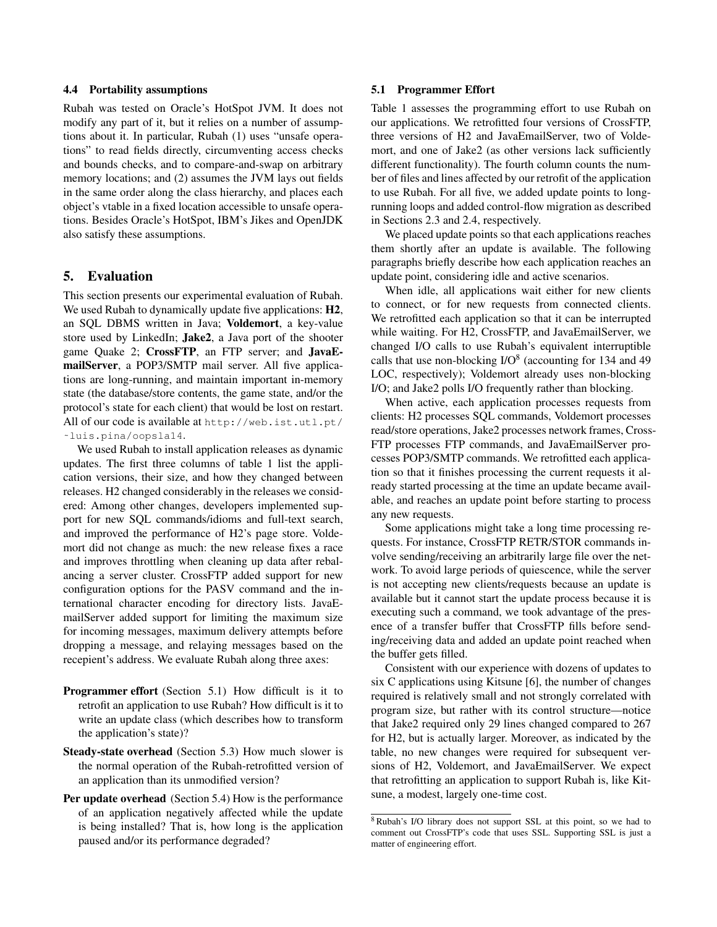## 4.4 Portability assumptions

Rubah was tested on Oracle's HotSpot JVM. It does not modify any part of it, but it relies on a number of assumptions about it. In particular, Rubah (1) uses "unsafe operations" to read fields directly, circumventing access checks and bounds checks, and to compare-and-swap on arbitrary memory locations; and (2) assumes the JVM lays out fields in the same order along the class hierarchy, and places each object's vtable in a fixed location accessible to unsafe operations. Besides Oracle's HotSpot, IBM's Jikes and OpenJDK also satisfy these assumptions.

# 5. Evaluation

This section presents our experimental evaluation of Rubah. We used Rubah to dynamically update five applications:  $H2$ , an SQL DBMS written in Java; Voldemort, a key-value store used by LinkedIn; Jake2, a Java port of the shooter game Quake 2; CrossFTP, an FTP server; and JavaEmailServer, a POP3/SMTP mail server. All five applications are long-running, and maintain important in-memory state (the database/store contents, the game state, and/or the protocol's state for each client) that would be lost on restart. All of our code is available at http://web.ist.utl.pt/ ˜luis.pina/oopsla14.

We used Rubah to install application releases as dynamic updates. The first three columns of table 1 list the application versions, their size, and how they changed between releases. H2 changed considerably in the releases we considered: Among other changes, developers implemented support for new SQL commands/idioms and full-text search, and improved the performance of H2's page store. Voldemort did not change as much: the new release fixes a race and improves throttling when cleaning up data after rebalancing a server cluster. CrossFTP added support for new configuration options for the PASV command and the international character encoding for directory lists. JavaEmailServer added support for limiting the maximum size for incoming messages, maximum delivery attempts before dropping a message, and relaying messages based on the recepient's address. We evaluate Rubah along three axes:

- Programmer effort (Section 5.1) How difficult is it to retrofit an application to use Rubah? How difficult is it to write an update class (which describes how to transform the application's state)?
- Steady-state overhead (Section 5.3) How much slower is the normal operation of the Rubah-retrofitted version of an application than its unmodified version?
- Per update overhead (Section 5.4) How is the performance of an application negatively affected while the update is being installed? That is, how long is the application paused and/or its performance degraded?

## 5.1 Programmer Effort

Table 1 assesses the programming effort to use Rubah on our applications. We retrofitted four versions of CrossFTP, three versions of H2 and JavaEmailServer, two of Voldemort, and one of Jake2 (as other versions lack sufficiently different functionality). The fourth column counts the number of files and lines affected by our retrofit of the application to use Rubah. For all five, we added update points to longrunning loops and added control-flow migration as described in Sections 2.3 and 2.4, respectively.

We placed update points so that each applications reaches them shortly after an update is available. The following paragraphs briefly describe how each application reaches an update point, considering idle and active scenarios.

When idle, all applications wait either for new clients to connect, or for new requests from connected clients. We retrofitted each application so that it can be interrupted while waiting. For H2, CrossFTP, and JavaEmailServer, we changed I/O calls to use Rubah's equivalent interruptible calls that use non-blocking  $I/O^8$  (accounting for 134 and 49 LOC, respectively); Voldemort already uses non-blocking I/O; and Jake2 polls I/O frequently rather than blocking.

When active, each application processes requests from clients: H2 processes SQL commands, Voldemort processes read/store operations, Jake2 processes network frames, Cross-FTP processes FTP commands, and JavaEmailServer processes POP3/SMTP commands. We retrofitted each application so that it finishes processing the current requests it already started processing at the time an update became available, and reaches an update point before starting to process any new requests.

Some applications might take a long time processing requests. For instance, CrossFTP RETR/STOR commands involve sending/receiving an arbitrarily large file over the network. To avoid large periods of quiescence, while the server is not accepting new clients/requests because an update is available but it cannot start the update process because it is executing such a command, we took advantage of the presence of a transfer buffer that CrossFTP fills before sending/receiving data and added an update point reached when the buffer gets filled.

Consistent with our experience with dozens of updates to six C applications using Kitsune [6], the number of changes required is relatively small and not strongly correlated with program size, but rather with its control structure—notice that Jake2 required only 29 lines changed compared to 267 for H2, but is actually larger. Moreover, as indicated by the table, no new changes were required for subsequent versions of H2, Voldemort, and JavaEmailServer. We expect that retrofitting an application to support Rubah is, like Kitsune, a modest, largely one-time cost.

<sup>8</sup> Rubah's I/O library does not support SSL at this point, so we had to comment out CrossFTP's code that uses SSL. Supporting SSL is just a matter of engineering effort.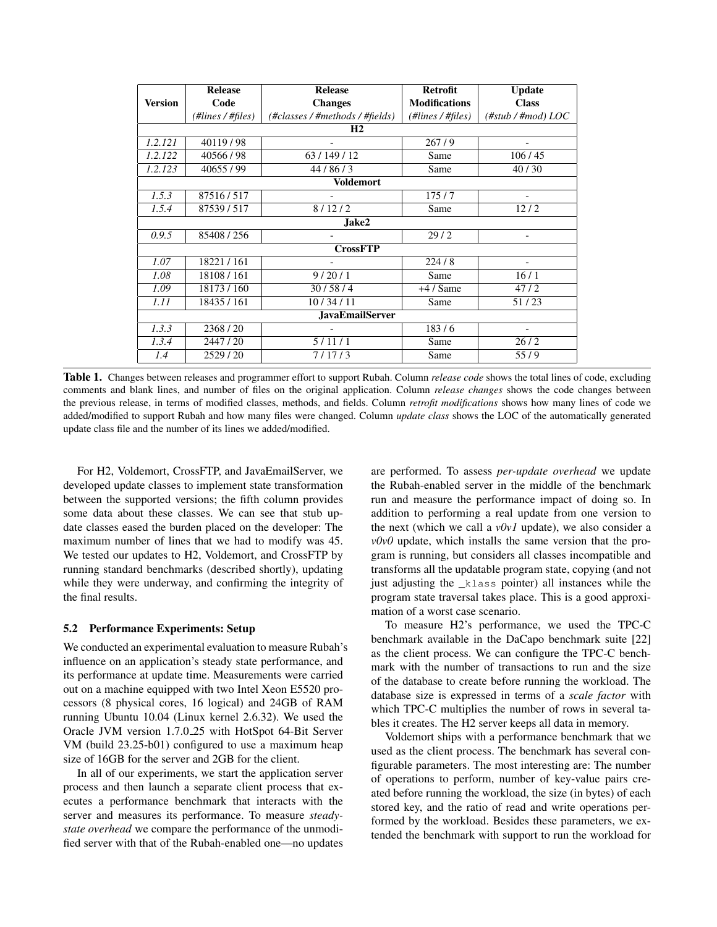|                        | <b>Release</b>    | <b>Release</b>                  | <b>Retrofit</b>      | <b>Update</b>                        |  |  |
|------------------------|-------------------|---------------------------------|----------------------|--------------------------------------|--|--|
| <b>Version</b>         | Code              | <b>Changes</b>                  | <b>Modifications</b> | <b>Class</b>                         |  |  |
|                        | (#lines / #files) | (#classes / #methods / #fields) | (#lines / #files)    | $(\# \text{stab}/\# \text{mod})$ LOC |  |  |
| H <sub>2</sub>         |                   |                                 |                      |                                      |  |  |
| 1.2.121                | 40119/98          |                                 | 267/9                |                                      |  |  |
| 1.2.122                | 40566/98          | 63/149/12                       | Same                 | 106/45                               |  |  |
| 1.2.123                | 40655/99          | 44/86/3                         | Same                 | 40/30                                |  |  |
| <b>Voldemort</b>       |                   |                                 |                      |                                      |  |  |
| 1.5.3                  | 87516/517         |                                 | 175/7                |                                      |  |  |
| 1.5.4                  | 87539/517         | 8/12/2                          | Same                 | 12/2                                 |  |  |
| Jake2                  |                   |                                 |                      |                                      |  |  |
| 0.9.5                  | 85408 / 256       |                                 | 29/2                 |                                      |  |  |
| <b>CrossFTP</b>        |                   |                                 |                      |                                      |  |  |
| 1.07                   | 18221/161         |                                 | 224/8                |                                      |  |  |
| 1.08                   | 18108/161         | 9/20/1                          | Same                 | 16/1                                 |  |  |
| 1.09                   | 18173/160         | 30/58/4                         | $+4/$ Same           | 47/2                                 |  |  |
| 1.11                   | 18435 / 161       | 10/34/11                        | Same                 | 51/23                                |  |  |
| <b>JavaEmailServer</b> |                   |                                 |                      |                                      |  |  |
| 1.3.3                  | 2368/20           |                                 | 183/6                |                                      |  |  |
| 1.3.4                  | 2447/20           | 5/11/1                          | Same                 | 26/2                                 |  |  |
| 1.4                    | 2529/20           | 7/17/3                          | Same                 | 55/9                                 |  |  |

Table 1. Changes between releases and programmer effort to support Rubah. Column *release code* shows the total lines of code, excluding comments and blank lines, and number of files on the original application. Column *release changes* shows the code changes between the previous release, in terms of modified classes, methods, and fields. Column *retrofit modifications* shows how many lines of code we added/modified to support Rubah and how many files were changed. Column *update class* shows the LOC of the automatically generated update class file and the number of its lines we added/modified.

For H2, Voldemort, CrossFTP, and JavaEmailServer, we developed update classes to implement state transformation between the supported versions; the fifth column provides some data about these classes. We can see that stub update classes eased the burden placed on the developer: The maximum number of lines that we had to modify was 45. We tested our updates to H2, Voldemort, and CrossFTP by running standard benchmarks (described shortly), updating while they were underway, and confirming the integrity of the final results.

#### 5.2 Performance Experiments: Setup

We conducted an experimental evaluation to measure Rubah's influence on an application's steady state performance, and its performance at update time. Measurements were carried out on a machine equipped with two Intel Xeon E5520 processors (8 physical cores, 16 logical) and 24GB of RAM running Ubuntu 10.04 (Linux kernel 2.6.32). We used the Oracle JVM version 1.7.0 25 with HotSpot 64-Bit Server VM (build 23.25-b01) configured to use a maximum heap size of 16GB for the server and 2GB for the client.

In all of our experiments, we start the application server process and then launch a separate client process that executes a performance benchmark that interacts with the server and measures its performance. To measure *steadystate overhead* we compare the performance of the unmodified server with that of the Rubah-enabled one—no updates

are performed. To assess *per-update overhead* we update the Rubah-enabled server in the middle of the benchmark run and measure the performance impact of doing so. In addition to performing a real update from one version to the next (which we call a *v0v1* update), we also consider a *v0v0* update, which installs the same version that the program is running, but considers all classes incompatible and transforms all the updatable program state, copying (and not just adjusting the \_klass pointer) all instances while the program state traversal takes place. This is a good approximation of a worst case scenario.

To measure H2's performance, we used the TPC-C benchmark available in the DaCapo benchmark suite [22] as the client process. We can configure the TPC-C benchmark with the number of transactions to run and the size of the database to create before running the workload. The database size is expressed in terms of a *scale factor* with which TPC-C multiplies the number of rows in several tables it creates. The H2 server keeps all data in memory.

Voldemort ships with a performance benchmark that we used as the client process. The benchmark has several configurable parameters. The most interesting are: The number of operations to perform, number of key-value pairs created before running the workload, the size (in bytes) of each stored key, and the ratio of read and write operations performed by the workload. Besides these parameters, we extended the benchmark with support to run the workload for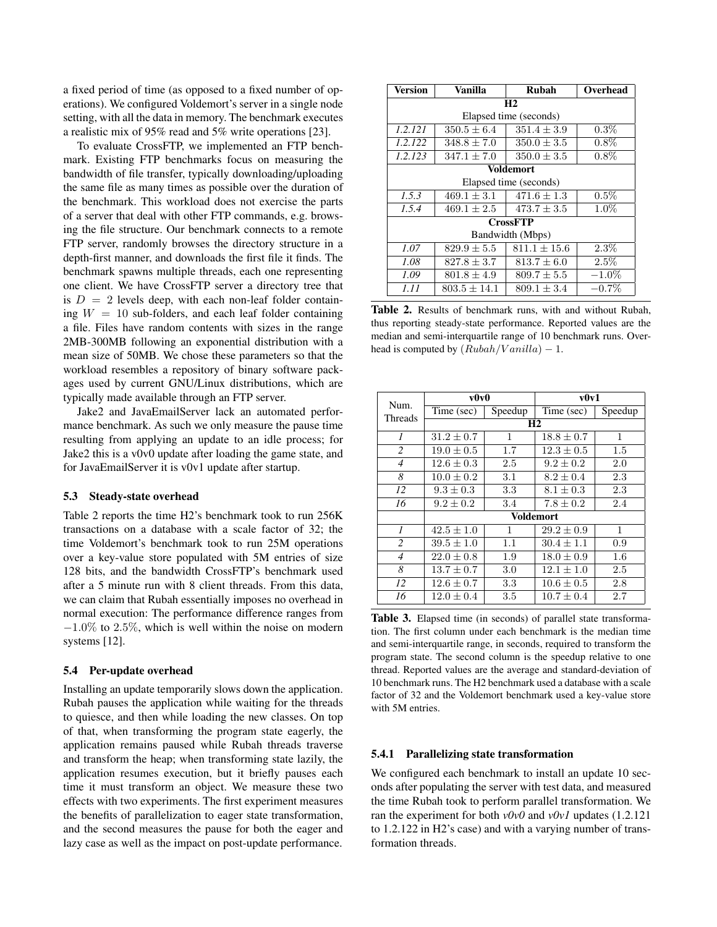a fixed period of time (as opposed to a fixed number of operations). We configured Voldemort's server in a single node setting, with all the data in memory. The benchmark executes a realistic mix of 95% read and 5% write operations [23].

To evaluate CrossFTP, we implemented an FTP benchmark. Existing FTP benchmarks focus on measuring the bandwidth of file transfer, typically downloading/uploading the same file as many times as possible over the duration of the benchmark. This workload does not exercise the parts of a server that deal with other FTP commands, e.g. browsing the file structure. Our benchmark connects to a remote FTP server, randomly browses the directory structure in a depth-first manner, and downloads the first file it finds. The benchmark spawns multiple threads, each one representing one client. We have CrossFTP server a directory tree that is  $D = 2$  levels deep, with each non-leaf folder containing  $W = 10$  sub-folders, and each leaf folder containing a file. Files have random contents with sizes in the range 2MB-300MB following an exponential distribution with a mean size of 50MB. We chose these parameters so that the workload resembles a repository of binary software packages used by current GNU/Linux distributions, which are typically made available through an FTP server.

Jake2 and JavaEmailServer lack an automated performance benchmark. As such we only measure the pause time resulting from applying an update to an idle process; for Jake2 this is a v0v0 update after loading the game state, and for JavaEmailServer it is v0v1 update after startup.

#### 5.3 Steady-state overhead

Table 2 reports the time H2's benchmark took to run 256K transactions on a database with a scale factor of 32; the time Voldemort's benchmark took to run 25M operations over a key-value store populated with 5M entries of size 128 bits, and the bandwidth CrossFTP's benchmark used after a 5 minute run with 8 client threads. From this data, we can claim that Rubah essentially imposes no overhead in normal execution: The performance difference ranges from  $-1.0\%$  to 2.5%, which is well within the noise on modern systems [12].

#### 5.4 Per-update overhead

Installing an update temporarily slows down the application. Rubah pauses the application while waiting for the threads to quiesce, and then while loading the new classes. On top of that, when transforming the program state eagerly, the application remains paused while Rubah threads traverse and transform the heap; when transforming state lazily, the application resumes execution, but it briefly pauses each time it must transform an object. We measure these two effects with two experiments. The first experiment measures the benefits of parallelization to eager state transformation, and the second measures the pause for both the eager and lazy case as well as the impact on post-update performance.

| <b>Version</b>         | Vanilla          | Rubah            | Overhead |  |  |
|------------------------|------------------|------------------|----------|--|--|
| H <sub>2</sub>         |                  |                  |          |  |  |
| Elapsed time (seconds) |                  |                  |          |  |  |
| 1.2.121                | $350.5 \pm 6.4$  | $351.4 \pm 3.9$  | $0.3\%$  |  |  |
| 1.2.122                | $348.8 \pm 7.0$  | $350.0 \pm 3.5$  | $0.8\%$  |  |  |
| 1.2.123                | $347.1 \pm 7.0$  | $350.0 \pm 3.5$  | $0.8\%$  |  |  |
| <b>Voldemort</b>       |                  |                  |          |  |  |
| Elapsed time (seconds) |                  |                  |          |  |  |
| 1.5.3                  | $469.1 \pm 3.1$  | $471.6 \pm 1.3$  | $0.5\%$  |  |  |
| 1.5.4                  | $469.1 \pm 2.5$  | $473.7 \pm 3.5$  | $1.0\%$  |  |  |
| <b>CrossFTP</b>        |                  |                  |          |  |  |
| Bandwidth (Mbps)       |                  |                  |          |  |  |
| 1.07                   | $829.9 \pm 5.5$  | $811.1 \pm 15.6$ | 2.3%     |  |  |
| 1.08                   | $827.8 \pm 3.7$  | $813.7 \pm 6.0$  | $2.5\%$  |  |  |
| 1.09                   | $801.8 \pm 4.9$  | $809.7 \pm 5.5$  | $-1.0\%$ |  |  |
| 1.11                   | $803.5 \pm 14.1$ | $809.1 \pm 3.4$  | $-0.7\%$ |  |  |

Table 2. Results of benchmark runs, with and without Rubah, thus reporting steady-state performance. Reported values are the median and semi-interquartile range of 10 benchmark runs. Overhead is computed by  $(Rubah/Vanilla) - 1$ .

|                        | v0v0           |         | v0v1           |              |  |
|------------------------|----------------|---------|----------------|--------------|--|
| Num.<br><b>Threads</b> | Time (sec)     | Speedup | Time (sec)     | Speedup      |  |
|                        | H <sub>2</sub> |         |                |              |  |
| $\boldsymbol{l}$       | $31.2 \pm 0.7$ | 1       | $18.8 \pm 0.7$ | $\mathbf{1}$ |  |
| 2                      | $19.0 \pm 0.5$ | 1.7     | $12.3 \pm 0.5$ | 1.5          |  |
| $\overline{4}$         | $12.6 + 0.3$   | 2.5     | $9.2 + 0.2$    | 2.0          |  |
| 8                      | $10.0 \pm 0.2$ | 3.1     | $8.2 \pm 0.4$  | 2.3          |  |
| 12                     | $9.3 \pm 0.3$  | 3.3     | $8.1 \pm 0.3$  | 2.3          |  |
| 16                     | $9.2 \pm 0.2$  | 3.4     | $7.8 \pm 0.2$  | 2.4          |  |
|                        | Voldemort      |         |                |              |  |
| $\overline{I}$         | $42.5 \pm 1.0$ | 1       | $29.2 \pm 0.9$ | 1            |  |
| 2                      | $39.5 \pm 1.0$ | 1.1     | $30.4 \pm 1.1$ | 0.9          |  |
| $\overline{4}$         | $22.0 \pm 0.8$ | 1.9     | $18.0 \pm 0.9$ | $1.6\,$      |  |
| 8                      | $13.7 \pm 0.7$ | 3.0     | $12.1 + 1.0$   | 2.5          |  |
| 12                     | $12.6 \pm 0.7$ | 3.3     | $10.6 \pm 0.5$ | 2.8          |  |
| 16                     | $12.0 \pm 0.4$ | 3.5     | $10.7 \pm 0.4$ | 2.7          |  |

Table 3. Elapsed time (in seconds) of parallel state transformation. The first column under each benchmark is the median time and semi-interquartile range, in seconds, required to transform the program state. The second column is the speedup relative to one thread. Reported values are the average and standard-deviation of 10 benchmark runs. The H2 benchmark used a database with a scale factor of 32 and the Voldemort benchmark used a key-value store with 5M entries.

## 5.4.1 Parallelizing state transformation

We configured each benchmark to install an update 10 seconds after populating the server with test data, and measured the time Rubah took to perform parallel transformation. We ran the experiment for both *v0v0* and *v0v1* updates (1.2.121 to 1.2.122 in H2's case) and with a varying number of transformation threads.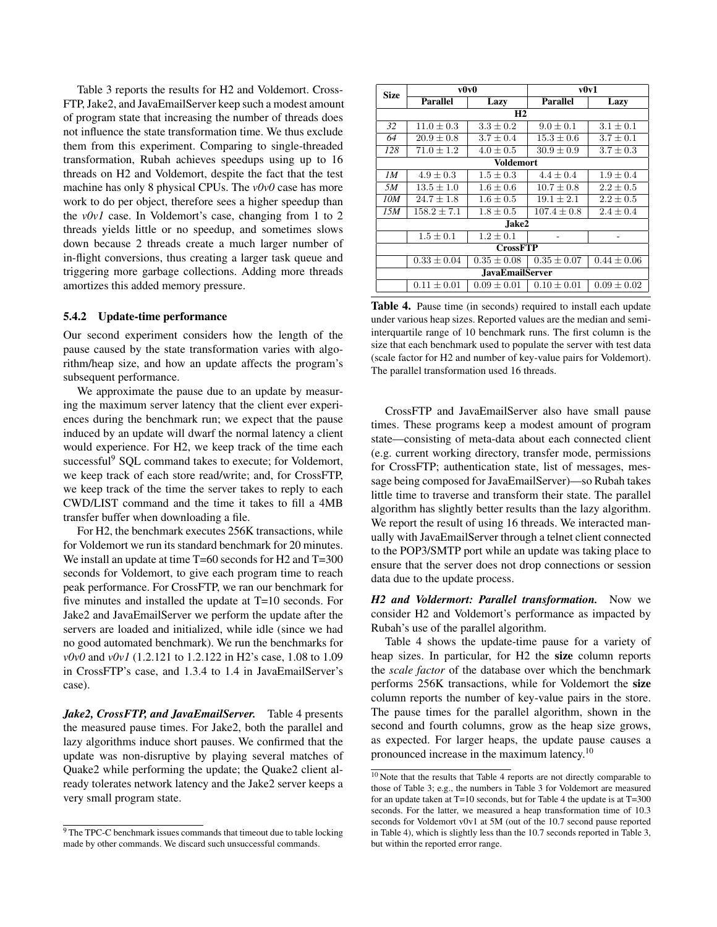Table 3 reports the results for H2 and Voldemort. Cross-FTP, Jake2, and JavaEmailServer keep such a modest amount of program state that increasing the number of threads does not influence the state transformation time. We thus exclude them from this experiment. Comparing to single-threaded transformation, Rubah achieves speedups using up to 16 threads on H2 and Voldemort, despite the fact that the test machine has only 8 physical CPUs. The *v0v0* case has more work to do per object, therefore sees a higher speedup than the *v0v1* case. In Voldemort's case, changing from 1 to 2 threads yields little or no speedup, and sometimes slows down because 2 threads create a much larger number of in-flight conversions, thus creating a larger task queue and triggering more garbage collections. Adding more threads amortizes this added memory pressure.

#### 5.4.2 Update-time performance

Our second experiment considers how the length of the pause caused by the state transformation varies with algorithm/heap size, and how an update affects the program's subsequent performance.

We approximate the pause due to an update by measuring the maximum server latency that the client ever experiences during the benchmark run; we expect that the pause induced by an update will dwarf the normal latency a client would experience. For H2, we keep track of the time each successful<sup>9</sup> SQL command takes to execute; for Voldemort, we keep track of each store read/write; and, for CrossFTP, we keep track of the time the server takes to reply to each CWD/LIST command and the time it takes to fill a 4MB transfer buffer when downloading a file.

For H2, the benchmark executes 256K transactions, while for Voldemort we run its standard benchmark for 20 minutes. We install an update at time T=60 seconds for H2 and T=300 seconds for Voldemort, to give each program time to reach peak performance. For CrossFTP, we ran our benchmark for five minutes and installed the update at T=10 seconds. For Jake2 and JavaEmailServer we perform the update after the servers are loaded and initialized, while idle (since we had no good automated benchmark). We run the benchmarks for *v0v0* and *v0v1* (1.2.121 to 1.2.122 in H2's case, 1.08 to 1.09 in CrossFTP's case, and 1.3.4 to 1.4 in JavaEmailServer's case).

*Jake2, CrossFTP, and JavaEmailServer.* Table 4 presents the measured pause times. For Jake2, both the parallel and lazy algorithms induce short pauses. We confirmed that the update was non-disruptive by playing several matches of Quake2 while performing the update; the Quake2 client already tolerates network latency and the Jake2 server keeps a very small program state.

| Size                   | v0v0            |                 | v0v1            |                 |  |
|------------------------|-----------------|-----------------|-----------------|-----------------|--|
|                        | <b>Parallel</b> | Lazy            | <b>Parallel</b> | Lazy            |  |
| H2                     |                 |                 |                 |                 |  |
| 32                     | $11.0 \pm 0.3$  | $3.3 \pm 0.2$   | $9.0 \pm 0.1$   | $3.1 \pm 0.1$   |  |
| 64                     | $20.9 \pm 0.8$  | $3.7 \pm 0.4$   | $15.3 \pm 0.6$  | $3.7 \pm 0.1$   |  |
| 128                    | $71.0 \pm 1.2$  | $4.0 \pm 0.5$   | $30.9 \pm 0.9$  | $3.7 \pm 0.3$   |  |
| <b>Voldemort</b>       |                 |                 |                 |                 |  |
| 1M                     | $4.9 \pm 0.3$   | $1.5 \pm 0.3$   | $4.4 \pm 0.4$   | $1.9 + 0.4$     |  |
| .5M                    | $13.5 \pm 1.0$  | $1.6 \pm 0.6$   | $10.7 \pm 0.8$  | $2.2 \pm 0.5$   |  |
| 10M                    | $24.7 \pm 1.8$  | $1.6 + 0.5$     | $19.1 \pm 2.1$  | $2.2 \pm 0.5$   |  |
| 15M                    | $158.2 \pm 7.1$ | $1.8 \pm 0.5$   | $107.4 \pm 0.8$ | $2.4 \pm 0.4$   |  |
| Jake2                  |                 |                 |                 |                 |  |
|                        | $1.5 \pm 0.1$   | $1.2 + 0.1$     |                 |                 |  |
| <b>CrossFTP</b>        |                 |                 |                 |                 |  |
|                        | $0.33 \pm 0.04$ | $0.35 \pm 0.08$ | $0.35 \pm 0.07$ | $0.44 \pm 0.06$ |  |
| <b>JavaEmailServer</b> |                 |                 |                 |                 |  |
|                        | $0.11 \pm 0.01$ | $0.09 \pm 0.01$ | $0.10 \pm 0.01$ | $0.09 \pm 0.02$ |  |

Table 4. Pause time (in seconds) required to install each update under various heap sizes. Reported values are the median and semiinterquartile range of 10 benchmark runs. The first column is the size that each benchmark used to populate the server with test data (scale factor for H2 and number of key-value pairs for Voldemort). The parallel transformation used 16 threads.

CrossFTP and JavaEmailServer also have small pause times. These programs keep a modest amount of program state—consisting of meta-data about each connected client (e.g. current working directory, transfer mode, permissions for CrossFTP; authentication state, list of messages, message being composed for JavaEmailServer)—so Rubah takes little time to traverse and transform their state. The parallel algorithm has slightly better results than the lazy algorithm. We report the result of using 16 threads. We interacted manually with JavaEmailServer through a telnet client connected to the POP3/SMTP port while an update was taking place to ensure that the server does not drop connections or session data due to the update process.

*H2 and Voldermort: Parallel transformation.* Now we consider H2 and Voldemort's performance as impacted by Rubah's use of the parallel algorithm.

Table 4 shows the update-time pause for a variety of heap sizes. In particular, for H2 the size column reports the *scale factor* of the database over which the benchmark performs 256K transactions, while for Voldemort the size column reports the number of key-value pairs in the store. The pause times for the parallel algorithm, shown in the second and fourth columns, grow as the heap size grows, as expected. For larger heaps, the update pause causes a pronounced increase in the maximum latency.<sup>10</sup>

<sup>&</sup>lt;sup>9</sup>The TPC-C benchmark issues commands that timeout due to table locking made by other commands. We discard such unsuccessful commands.

<sup>10</sup> Note that the results that Table 4 reports are not directly comparable to those of Table 3; e.g., the numbers in Table 3 for Voldemort are measured for an update taken at T=10 seconds, but for Table 4 the update is at T=300 seconds. For the latter, we measured a heap transformation time of 10.3 seconds for Voldemort v0v1 at 5M (out of the 10.7 second pause reported in Table 4), which is slightly less than the 10.7 seconds reported in Table 3, but within the reported error range.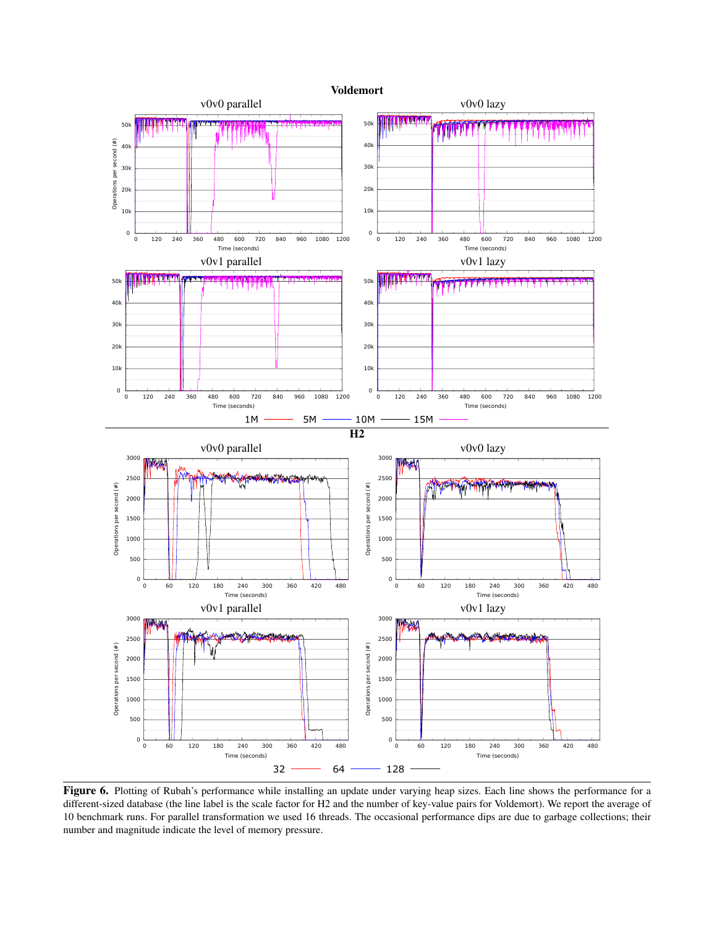

Figure 6. Plotting of Rubah's performance while installing an update under varying heap sizes. Each line shows the performance for a different-sized database (the line label is the scale factor for H2 and the number of key-value pairs for Voldemort). We report the average of 10 benchmark runs. For parallel transformation we used 16 threads. The occasional performance dips are due to garbage collections; their number and magnitude indicate the level of memory pressure.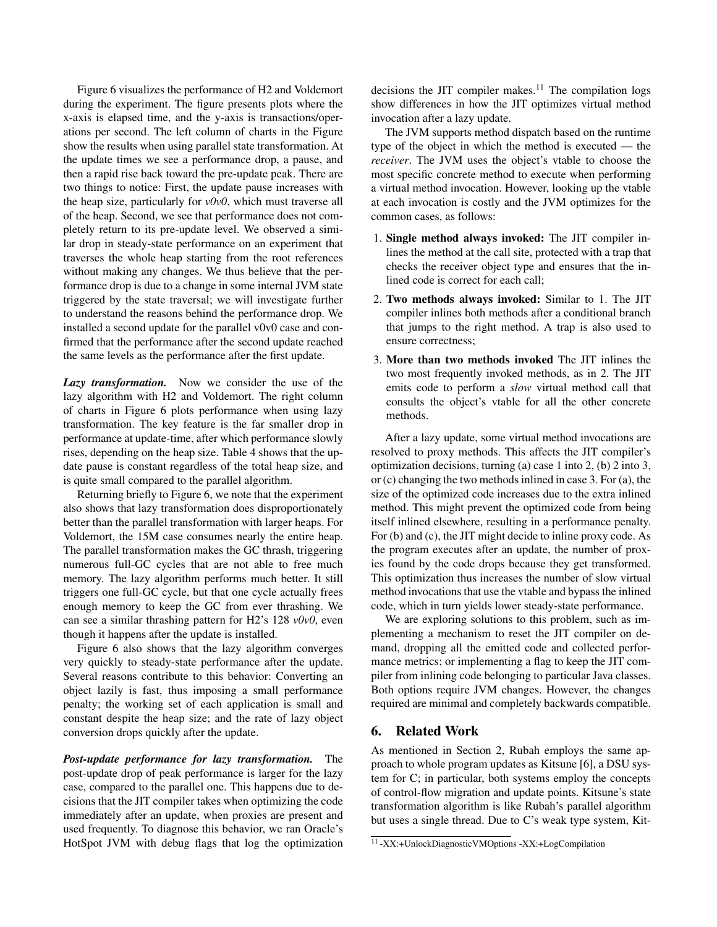Figure 6 visualizes the performance of H2 and Voldemort during the experiment. The figure presents plots where the x-axis is elapsed time, and the y-axis is transactions/operations per second. The left column of charts in the Figure show the results when using parallel state transformation. At the update times we see a performance drop, a pause, and then a rapid rise back toward the pre-update peak. There are two things to notice: First, the update pause increases with the heap size, particularly for *v0v0*, which must traverse all of the heap. Second, we see that performance does not completely return to its pre-update level. We observed a similar drop in steady-state performance on an experiment that traverses the whole heap starting from the root references without making any changes. We thus believe that the performance drop is due to a change in some internal JVM state triggered by the state traversal; we will investigate further to understand the reasons behind the performance drop. We installed a second update for the parallel v0v0 case and confirmed that the performance after the second update reached the same levels as the performance after the first update.

*Lazy transformation.* Now we consider the use of the lazy algorithm with H2 and Voldemort. The right column of charts in Figure 6 plots performance when using lazy transformation. The key feature is the far smaller drop in performance at update-time, after which performance slowly rises, depending on the heap size. Table 4 shows that the update pause is constant regardless of the total heap size, and is quite small compared to the parallel algorithm.

Returning briefly to Figure 6, we note that the experiment also shows that lazy transformation does disproportionately better than the parallel transformation with larger heaps. For Voldemort, the 15M case consumes nearly the entire heap. The parallel transformation makes the GC thrash, triggering numerous full-GC cycles that are not able to free much memory. The lazy algorithm performs much better. It still triggers one full-GC cycle, but that one cycle actually frees enough memory to keep the GC from ever thrashing. We can see a similar thrashing pattern for H2's 128 *v0v0*, even though it happens after the update is installed.

Figure 6 also shows that the lazy algorithm converges very quickly to steady-state performance after the update. Several reasons contribute to this behavior: Converting an object lazily is fast, thus imposing a small performance penalty; the working set of each application is small and constant despite the heap size; and the rate of lazy object conversion drops quickly after the update.

*Post-update performance for lazy transformation.* The post-update drop of peak performance is larger for the lazy case, compared to the parallel one. This happens due to decisions that the JIT compiler takes when optimizing the code immediately after an update, when proxies are present and used frequently. To diagnose this behavior, we ran Oracle's HotSpot JVM with debug flags that log the optimization

decisions the JIT compiler makes.<sup>11</sup> The compilation logs show differences in how the JIT optimizes virtual method invocation after a lazy update.

The JVM supports method dispatch based on the runtime type of the object in which the method is executed — the *receiver*. The JVM uses the object's vtable to choose the most specific concrete method to execute when performing a virtual method invocation. However, looking up the vtable at each invocation is costly and the JVM optimizes for the common cases, as follows:

- 1. Single method always invoked: The JIT compiler inlines the method at the call site, protected with a trap that checks the receiver object type and ensures that the inlined code is correct for each call;
- 2. Two methods always invoked: Similar to 1. The JIT compiler inlines both methods after a conditional branch that jumps to the right method. A trap is also used to ensure correctness;
- 3. More than two methods invoked The JIT inlines the two most frequently invoked methods, as in 2. The JIT emits code to perform a *slow* virtual method call that consults the object's vtable for all the other concrete methods.

After a lazy update, some virtual method invocations are resolved to proxy methods. This affects the JIT compiler's optimization decisions, turning (a) case 1 into 2, (b) 2 into 3, or (c) changing the two methods inlined in case 3. For (a), the size of the optimized code increases due to the extra inlined method. This might prevent the optimized code from being itself inlined elsewhere, resulting in a performance penalty. For (b) and (c), the JIT might decide to inline proxy code. As the program executes after an update, the number of proxies found by the code drops because they get transformed. This optimization thus increases the number of slow virtual method invocations that use the vtable and bypass the inlined code, which in turn yields lower steady-state performance.

We are exploring solutions to this problem, such as implementing a mechanism to reset the JIT compiler on demand, dropping all the emitted code and collected performance metrics; or implementing a flag to keep the JIT compiler from inlining code belonging to particular Java classes. Both options require JVM changes. However, the changes required are minimal and completely backwards compatible.

# 6. Related Work

As mentioned in Section 2, Rubah employs the same approach to whole program updates as Kitsune [6], a DSU system for C; in particular, both systems employ the concepts of control-flow migration and update points. Kitsune's state transformation algorithm is like Rubah's parallel algorithm but uses a single thread. Due to C's weak type system, Kit-

<sup>11</sup> -XX:+UnlockDiagnosticVMOptions -XX:+LogCompilation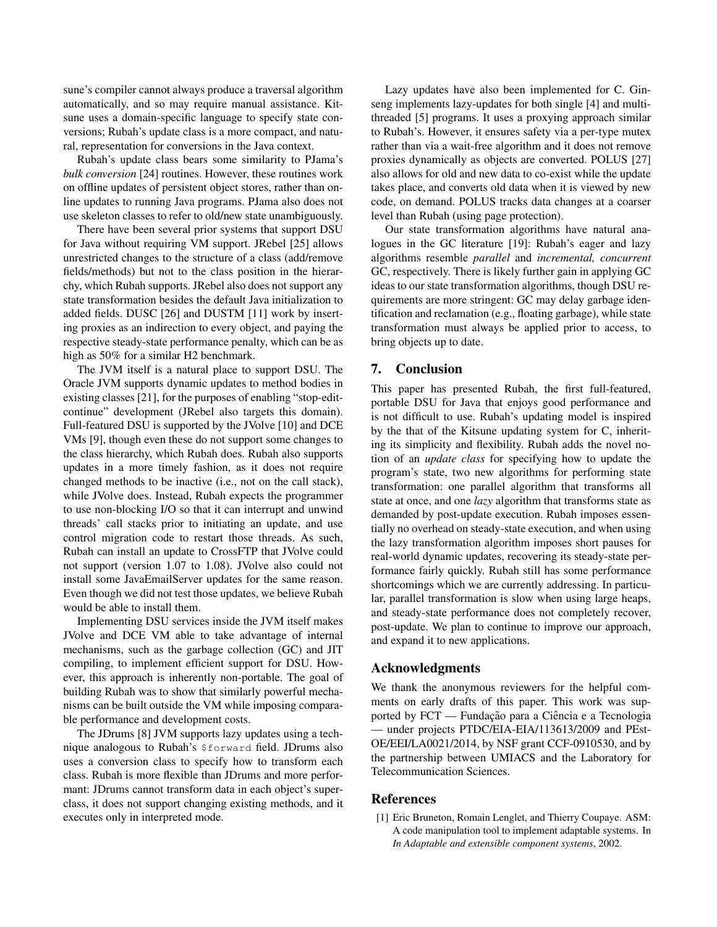sune's compiler cannot always produce a traversal algorithm automatically, and so may require manual assistance. Kitsune uses a domain-specific language to specify state conversions; Rubah's update class is a more compact, and natural, representation for conversions in the Java context.

Rubah's update class bears some similarity to PJama's *bulk conversion* [24] routines. However, these routines work on offline updates of persistent object stores, rather than online updates to running Java programs. PJama also does not use skeleton classes to refer to old/new state unambiguously.

There have been several prior systems that support DSU for Java without requiring VM support. JRebel [25] allows unrestricted changes to the structure of a class (add/remove fields/methods) but not to the class position in the hierarchy, which Rubah supports. JRebel also does not support any state transformation besides the default Java initialization to added fields. DUSC [26] and DUSTM [11] work by inserting proxies as an indirection to every object, and paying the respective steady-state performance penalty, which can be as high as 50% for a similar H2 benchmark.

The JVM itself is a natural place to support DSU. The Oracle JVM supports dynamic updates to method bodies in existing classes [21], for the purposes of enabling "stop-editcontinue" development (JRebel also targets this domain). Full-featured DSU is supported by the JVolve [10] and DCE VMs [9], though even these do not support some changes to the class hierarchy, which Rubah does. Rubah also supports updates in a more timely fashion, as it does not require changed methods to be inactive (i.e., not on the call stack), while JVolve does. Instead, Rubah expects the programmer to use non-blocking I/O so that it can interrupt and unwind threads' call stacks prior to initiating an update, and use control migration code to restart those threads. As such, Rubah can install an update to CrossFTP that JVolve could not support (version 1.07 to 1.08). JVolve also could not install some JavaEmailServer updates for the same reason. Even though we did not test those updates, we believe Rubah would be able to install them.

Implementing DSU services inside the JVM itself makes JVolve and DCE VM able to take advantage of internal mechanisms, such as the garbage collection (GC) and JIT compiling, to implement efficient support for DSU. However, this approach is inherently non-portable. The goal of building Rubah was to show that similarly powerful mechanisms can be built outside the VM while imposing comparable performance and development costs.

The JDrums [8] JVM supports lazy updates using a technique analogous to Rubah's \$forward field. JDrums also uses a conversion class to specify how to transform each class. Rubah is more flexible than JDrums and more performant: JDrums cannot transform data in each object's superclass, it does not support changing existing methods, and it executes only in interpreted mode.

Lazy updates have also been implemented for C. Ginseng implements lazy-updates for both single [4] and multithreaded [5] programs. It uses a proxying approach similar to Rubah's. However, it ensures safety via a per-type mutex rather than via a wait-free algorithm and it does not remove proxies dynamically as objects are converted. POLUS [27] also allows for old and new data to co-exist while the update takes place, and converts old data when it is viewed by new code, on demand. POLUS tracks data changes at a coarser level than Rubah (using page protection).

Our state transformation algorithms have natural analogues in the GC literature [19]: Rubah's eager and lazy algorithms resemble *parallel* and *incremental, concurrent* GC, respectively. There is likely further gain in applying GC ideas to our state transformation algorithms, though DSU requirements are more stringent: GC may delay garbage identification and reclamation (e.g., floating garbage), while state transformation must always be applied prior to access, to bring objects up to date.

# 7. Conclusion

This paper has presented Rubah, the first full-featured, portable DSU for Java that enjoys good performance and is not difficult to use. Rubah's updating model is inspired by the that of the Kitsune updating system for C, inheriting its simplicity and flexibility. Rubah adds the novel notion of an *update class* for specifying how to update the program's state, two new algorithms for performing state transformation: one parallel algorithm that transforms all state at once, and one *lazy* algorithm that transforms state as demanded by post-update execution. Rubah imposes essentially no overhead on steady-state execution, and when using the lazy transformation algorithm imposes short pauses for real-world dynamic updates, recovering its steady-state performance fairly quickly. Rubah still has some performance shortcomings which we are currently addressing. In particular, parallel transformation is slow when using large heaps, and steady-state performance does not completely recover, post-update. We plan to continue to improve our approach, and expand it to new applications.

## Acknowledgments

We thank the anonymous reviewers for the helpful comments on early drafts of this paper. This work was supported by FCT — Fundação para a Ciência e a Tecnologia — under projects PTDC/EIA-EIA/113613/2009 and PEst-OE/EEI/LA0021/2014, by NSF grant CCF-0910530, and by the partnership between UMIACS and the Laboratory for Telecommunication Sciences.

# References

[1] Eric Bruneton, Romain Lenglet, and Thierry Coupaye. ASM: A code manipulation tool to implement adaptable systems. In *In Adaptable and extensible component systems*, 2002.